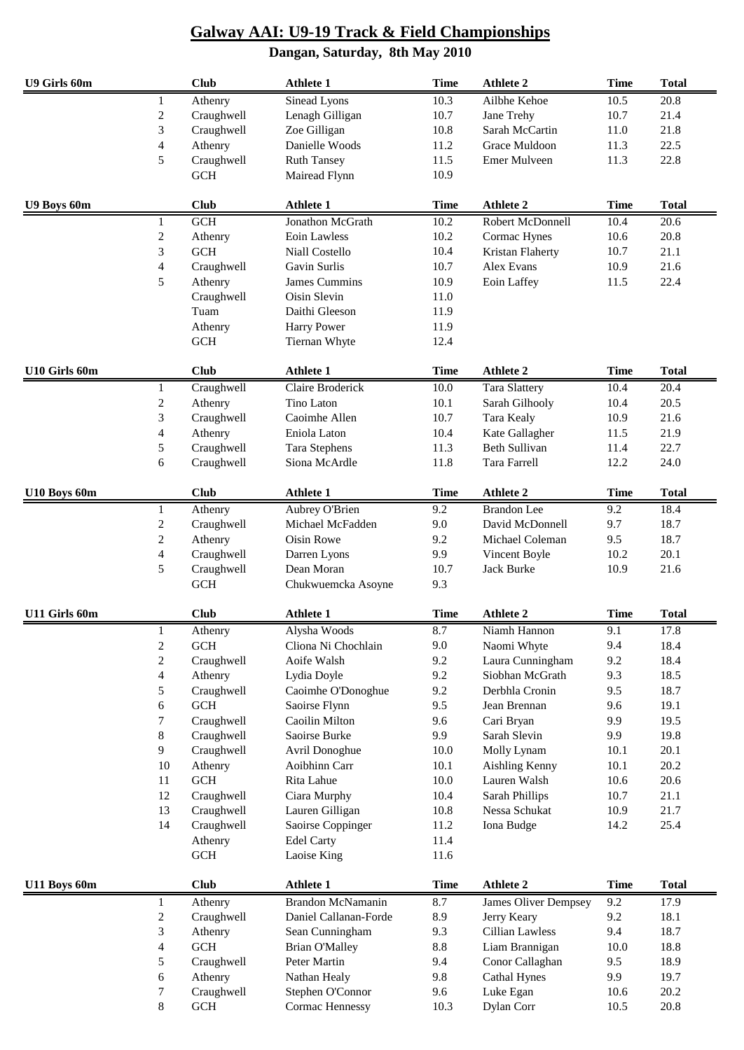| U9 Girls 60m  |                          | <b>Club</b>          | <b>Athlete 1</b>      | <b>Time</b>     | <b>Athlete 2</b>     | <b>Time</b> | <b>Total</b>      |
|---------------|--------------------------|----------------------|-----------------------|-----------------|----------------------|-------------|-------------------|
|               | 1                        | Athenry              | Sinead Lyons          | 10.3            | Ailbhe Kehoe         | 10.5        | $\overline{20.8}$ |
|               | $\sqrt{2}$               | Craughwell           | Lenagh Gilligan       | 10.7            | Jane Trehy           | 10.7        | 21.4              |
|               | $\mathfrak{Z}$           | Craughwell           | Zoe Gilligan          | 10.8            | Sarah McCartin       | 11.0        | 21.8              |
|               | $\overline{\mathcal{L}}$ | Athenry              | Danielle Woods        | 11.2            | Grace Muldoon        | 11.3        | 22.5              |
|               | 5                        | Craughwell           | <b>Ruth Tansey</b>    | 11.5            | Emer Mulveen         | 11.3        | 22.8              |
| GCH           |                          | Mairead Flynn        | 10.9                  |                 |                      |             |                   |
| U9 Boys 60m   |                          | <b>Club</b>          | <b>Athlete 1</b>      | <b>Time</b>     | <b>Athlete 2</b>     | <b>Time</b> | <b>Total</b>      |
|               | 1                        | GCH                  | Jonathon McGrath      | 10.2            | Robert McDonnell     | 10.4        | 20.6              |
|               | $\sqrt{2}$               | Athenry              | Eoin Lawless          | 10.2            | Cormac Hynes         | 10.6        | 20.8              |
|               | $\mathfrak{Z}$           | $GCH$                | Niall Costello        | 10.4            | Kristan Flaherty     | 10.7        | 21.1              |
|               | $\overline{4}$           | Craughwell           | Gavin Surlis          | 10.7            | Alex Evans           | 10.9        | 21.6              |
|               | 5                        | Athenry              | James Cummins         | 10.9            | Eoin Laffey          | 11.5        | 22.4              |
|               |                          | Craughwell           | Oisin Slevin          | 11.0            |                      |             |                   |
|               |                          | Tuam                 | Daithi Gleeson        | 11.9            |                      |             |                   |
|               |                          | Athenry              | Harry Power           | 11.9            |                      |             |                   |
|               |                          | GCH                  | Tiernan Whyte         | 12.4            |                      |             |                   |
|               |                          |                      |                       |                 |                      |             |                   |
| U10 Girls 60m |                          | <b>Club</b>          | <b>Athlete 1</b>      | <b>Time</b>     | <b>Athlete 2</b>     | <b>Time</b> | <b>Total</b>      |
|               | 1                        | Craughwell           | Claire Broderick      | 10.0            | <b>Tara Slattery</b> | 10.4        | 20.4              |
|               | $\sqrt{2}$               | Athenry              | Tino Laton            | 10.1            | Sarah Gilhooly       | 10.4        | 20.5              |
|               | $\mathfrak{Z}$           | Craughwell           | Caoimhe Allen         | 10.7            | <b>Tara Kealy</b>    | 10.9        | 21.6              |
|               | $\overline{4}$           | Athenry              | Eniola Laton          | 10.4            | Kate Gallagher       | 11.5        | 21.9              |
|               | $\sqrt{5}$               | Craughwell           | <b>Tara Stephens</b>  | 11.3            | <b>Beth Sullivan</b> | 11.4        | 22.7              |
|               | 6                        | Craughwell           | Siona McArdle         | 11.8            | Tara Farrell         | 12.2        | 24.0              |
| U10 Boys 60m  |                          | <b>Club</b>          | <b>Athlete 1</b>      | <b>Time</b>     | <b>Athlete 2</b>     | <b>Time</b> | <b>Total</b>      |
|               | 1                        | Athenry              | Aubrey O'Brien        | 9.2             | <b>Brandon</b> Lee   | 9.2         | 18.4              |
|               | $\boldsymbol{2}$         | Craughwell           | Michael McFadden      | 9.0             | David McDonnell      | 9.7         | 18.7              |
|               | $\overline{c}$           | Athenry              | Oisin Rowe            | 9.2             | Michael Coleman      | 9.5         | 18.7              |
|               | $\overline{4}$           | Craughwell           | Darren Lyons          | 9.9             | Vincent Boyle        | 10.2        | 20.1              |
|               | 5                        | Craughwell           | Dean Moran            | 10.7            | <b>Jack Burke</b>    | 10.9        | 21.6              |
|               |                          | <b>GCH</b>           | Chukwuemcka Asoyne    | 9.3             |                      |             |                   |
| U11 Girls 60m |                          | <b>Club</b>          | <b>Athlete 1</b>      | <b>Time</b>     | <b>Athlete 2</b>     | <b>Time</b> | <b>Total</b>      |
|               | 1                        | Athenry              | Alysha Woods          | 8.7             | Niamh Hannon         | 9.1         | 17.8              |
|               | $\overline{c}$           | <b>GCH</b>           | Cliona Ni Chochlain   | 9.0             | Naomi Whyte          | 9.4         | 18.4              |
|               | $\overline{2}$           | Craughwell           | Aoife Walsh           | 9.2             | Laura Cunningham     | 9.2         | 18.4              |
|               | 4                        | Athenry              | Lydia Doyle           | 9.2             | Siobhan McGrath      | 9.3         | 18.5              |
|               | 5                        | Craughwell           | Caoimhe O'Donoghue    | 9.2             | Derbhla Cronin       | 9.5         | 18.7              |
|               | 6                        | <b>GCH</b>           | Saoirse Flynn         | 9.5             | Jean Brennan         | 9.6         | 19.1              |
|               | 7                        | Craughwell           | Caoilin Milton        | 9.6             | Cari Bryan           | 9.9         | 19.5              |
|               | 8                        | Craughwell           | Saoirse Burke         | 9.9             | Sarah Slevin         | 9.9         | 19.8              |
|               | 9                        | Craughwell           | Avril Donoghue        | 10.0            | Molly Lynam          | 10.1        | 20.1              |
|               | 10                       | Athenry              | Aoibhinn Carr         | 10.1            | Aishling Kenny       | 10.1        | 20.2              |
|               | 11                       | $\operatorname{GCH}$ | Rita Lahue            | 10.0            | Lauren Walsh         | 10.6        | 20.6              |
|               | 12                       | Craughwell           | Ciara Murphy          | 10.4            | Sarah Phillips       | 10.7        | 21.1              |
|               | 13                       | Craughwell           | Lauren Gilligan       | 10.8            | Nessa Schukat        | 10.9        | 21.7              |
|               | 14                       | Craughwell           | Saoirse Coppinger     | 11.2            | Iona Budge           | 14.2        | 25.4              |
|               |                          | Athenry              | <b>Edel Carty</b>     | 11.4            |                      |             |                   |
|               |                          | <b>GCH</b>           | Laoise King           | 11.6            |                      |             |                   |
| U11 Boys 60m  |                          | <b>Club</b>          | <b>Athlete 1</b>      | <b>Time</b>     | <b>Athlete 2</b>     | <b>Time</b> | <b>Total</b>      |
|               | $\mathbf{1}$             | Athenry              | Brandon McNamanin     | 8.7             | James Oliver Dempsey | 9.2         | 17.9              |
|               | $\sqrt{2}$               | Craughwell           | Daniel Callanan-Forde | 8.9             | Jerry Keary          | 9.2         | 18.1              |
|               | $\sqrt{3}$               | Athenry              | Sean Cunningham       | 9.3             | Cillian Lawless      | 9.4         | 18.7              |
|               | 4                        | $\operatorname{GCH}$ | <b>Brian O'Malley</b> | $\!\!\!\!\!8.8$ | Liam Brannigan       | 10.0        | 18.8              |
|               | 5                        | Craughwell           | Peter Martin          | 9.4             | Conor Callaghan      | 9.5         | 18.9              |
|               | 6                        | Athenry              | Nathan Healy          | 9.8             | Cathal Hynes         | 9.9         | 19.7              |
|               | 7                        | Craughwell           | Stephen O'Connor      | 9.6             | Luke Egan            | 10.6        | 20.2              |
|               | $\,8\,$                  | $\operatorname{GCH}$ | Cormac Hennessy       | 10.3            | Dylan Corr           | 10.5        | 20.8              |
|               |                          |                      |                       |                 |                      |             |                   |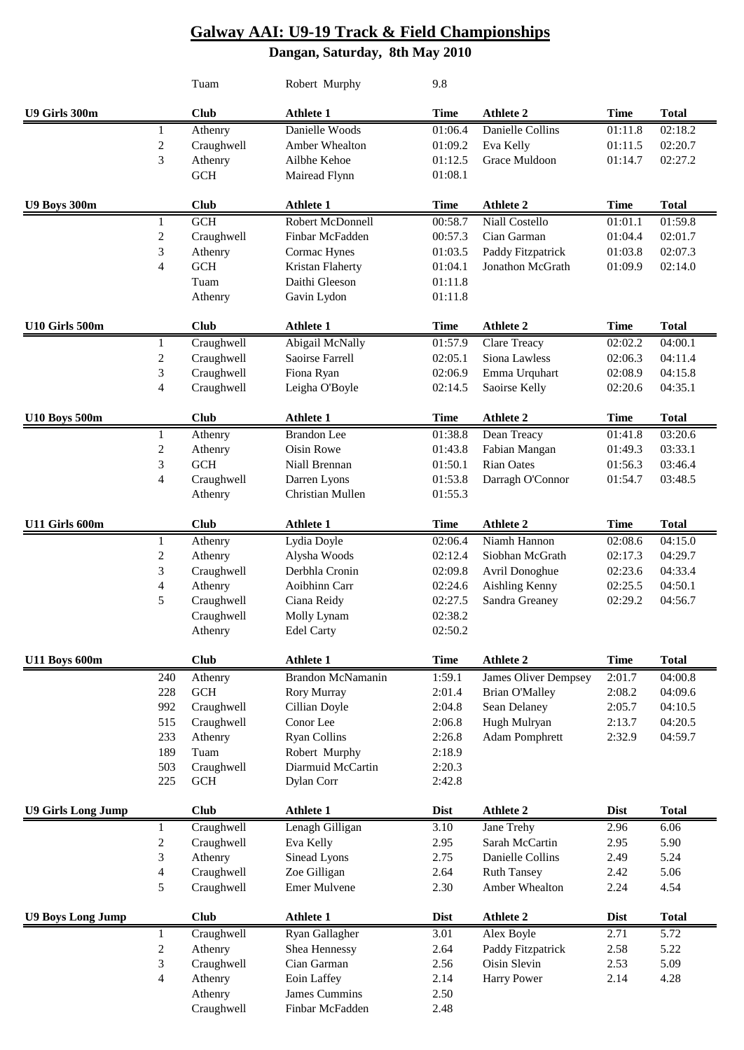### **Galway AAI: U9-19 Track & Field Championships Dangan, Saturday, 8th May 2010**

|                           |                          | Tuam                 | Robert Murphy                        | 9.8                 |                                |                     |              |
|---------------------------|--------------------------|----------------------|--------------------------------------|---------------------|--------------------------------|---------------------|--------------|
| U9 Girls 300m             |                          | <b>Club</b>          | <b>Athlete 1</b>                     | <b>Time</b>         | <b>Athlete 2</b>               | <b>Time</b>         | <b>Total</b> |
|                           | 1                        | Athenry              | Danielle Woods                       | 01:06.4             | Danielle Collins               | 01:11.8             | 02:18.2      |
|                           | 2                        | Craughwell           | Amber Whealton                       | 01:09.2             | Eva Kelly                      | 01:11.5             | 02:20.7      |
|                           | 3                        | Athenry              | Ailbhe Kehoe                         | 01:12.5             | Grace Muldoon                  | 01:14.7             | 02:27.2      |
|                           |                          | <b>GCH</b>           | Mairead Flynn                        | 01:08.1             |                                |                     |              |
| U9 Boys 300m              |                          | <b>Club</b>          | <b>Athlete 1</b>                     | <b>Time</b>         | <b>Athlete 2</b>               | <b>Time</b>         | <b>Total</b> |
|                           | 1                        | <b>GCH</b>           | Robert McDonnell                     | 00:58.7             | Niall Costello                 | 01:01.1             | 01:59.8      |
|                           | $\mathfrak{2}$           | Craughwell           | Finbar McFadden                      | 00:57.3             | Cian Garman                    | 01:04.4             | 02:01.7      |
|                           | 3                        | Athenry              | Cormac Hynes                         | 01:03.5             | Paddy Fitzpatrick              | 01:03.8             | 02:07.3      |
|                           | $\overline{4}$           | <b>GCH</b>           | Kristan Flaherty                     | 01:04.1             | Jonathon McGrath               | 01:09.9             | 02:14.0      |
|                           |                          | Tuam                 | Daithi Gleeson                       | 01:11.8             |                                |                     |              |
|                           |                          | Athenry              | Gavin Lydon                          | 01:11.8             |                                |                     |              |
| U10 Girls 500m            |                          | <b>Club</b>          | <b>Athlete 1</b>                     | <b>Time</b>         | <b>Athlete 2</b>               | <b>Time</b>         | <b>Total</b> |
|                           | 1                        | Craughwell           | Abigail McNally                      | 01:57.9             | Clare Treacy                   | 02:02.2             | 04:00.1      |
|                           | $\overline{c}$           | Craughwell           | Saoirse Farrell                      | 02:05.1             | Siona Lawless                  | 02:06.3             | 04:11.4      |
|                           | 3                        | Craughwell           | Fiona Ryan                           | 02:06.9             | Emma Urquhart                  | 02:08.9             | 04:15.8      |
|                           | 4                        | Craughwell           | Leigha O'Boyle                       | 02:14.5             | Saoirse Kelly                  | 02:20.6             | 04:35.1      |
| <b>U10 Boys 500m</b>      |                          | <b>Club</b>          | <b>Athlete 1</b>                     | <b>Time</b>         | <b>Athlete 2</b>               | <b>Time</b>         | <b>Total</b> |
|                           | 1                        | Athenry              | <b>Brandon</b> Lee                   | 01:38.8             | Dean Treacy                    | 01:41.8             | 03:20.6      |
|                           | $\boldsymbol{2}$         | Athenry              | <b>Oisin Rowe</b>                    | 01:43.8             | Fabian Mangan                  | 01:49.3             | 03:33.1      |
|                           | 3                        | $GCH$                | Niall Brennan                        | 01:50.1             | <b>Rian Oates</b>              | 01:56.3             | 03:46.4      |
|                           | $\overline{\mathcal{L}}$ | Craughwell           | Darren Lyons                         | 01:53.8             | Darragh O'Connor               | 01:54.7             | 03:48.5      |
|                           |                          | Athenry              | Christian Mullen                     | 01:55.3             |                                |                     |              |
| U11 Girls 600m            |                          | <b>Club</b>          | Athlete 1                            | <b>Time</b>         | <b>Athlete 2</b>               | <b>Time</b>         | <b>Total</b> |
|                           | 1                        | Athenry              | Lydia Doyle                          | 02:06.4             | Niamh Hannon                   | 02:08.6             | 04:15.0      |
|                           | $\mathfrak{2}$           | Athenry              | Alysha Woods                         | 02:12.4             | Siobhan McGrath                | 02:17.3             | 04:29.7      |
|                           | $\mathfrak{Z}$           | Craughwell           | Derbhla Cronin                       | 02:09.8             | Avril Donoghue                 | 02:23.6             | 04:33.4      |
|                           | 4                        | Athenry              | Aoibhinn Carr                        | 02:24.6             | Aishling Kenny                 | 02:25.5             | 04:50.1      |
|                           | 5                        | Craughwell           | Ciana Reidy                          | 02:27.5             | Sandra Greaney                 | 02:29.2             | 04:56.7      |
|                           |                          | Craughwell           | Molly Lynam                          | 02:38.2             |                                |                     |              |
|                           |                          | Athenry              | <b>Edel Carty</b>                    | 02:50.2             |                                |                     |              |
| <b>U11 Boys 600m</b>      |                          | <b>Club</b>          | <b>Athlete 1</b>                     | <b>Time</b>         | <b>Athlete 2</b>               | <b>Time</b>         | <b>Total</b> |
|                           | 240                      | Athenry              | <b>Brandon McNamanin</b>             | 1:59.1              | <b>James Oliver Dempsey</b>    | 2:01.7              | 04:00.8      |
|                           | 228                      | $\operatorname{GCH}$ | Rory Murray                          | 2:01.4              | <b>Brian O'Malley</b>          | 2:08.2              | 04:09.6      |
|                           | 992                      | Craughwell           | Cillian Doyle                        | 2:04.8              | Sean Delaney                   | 2:05.7              | 04:10.5      |
|                           | 515                      | Craughwell           | Conor Lee                            | 2:06.8              | Hugh Mulryan                   | 2:13.7              | 04:20.5      |
|                           | 233<br>189               | Athenry<br>Tuam      | <b>Ryan Collins</b><br>Robert Murphy | 2:26.8<br>2:18.9    | <b>Adam Pomphrett</b>          | 2:32.9              | 04:59.7      |
|                           | 503                      | Craughwell           | Diarmuid McCartin                    | 2:20.3              |                                |                     |              |
|                           | 225                      | <b>GCH</b>           | Dylan Corr                           | 2:42.8              |                                |                     |              |
| <b>U9 Girls Long Jump</b> |                          | <b>Club</b>          | <b>Athlete 1</b>                     | <b>Dist</b>         | <b>Athlete 2</b>               | <b>Dist</b>         | <b>Total</b> |
|                           | 1                        | Craughwell           | Lenagh Gilligan                      | 3.10                | Jane Trehy                     | 2.96                | 6.06         |
|                           | $\overline{c}$           | Craughwell           | Eva Kelly                            | 2.95                | Sarah McCartin                 | 2.95                | 5.90         |
|                           | 3                        | Athenry              | Sinead Lyons                         | 2.75                | Danielle Collins               | 2.49                | 5.24         |
|                           | 4                        | Craughwell           | Zoe Gilligan                         | 2.64                | <b>Ruth Tansey</b>             | 2.42                | 5.06         |
|                           | 5                        | Craughwell           | <b>Emer Mulvene</b>                  | 2.30                | Amber Whealton                 | 2.24                | 4.54         |
|                           |                          | <b>Club</b>          | Athlete 1                            |                     |                                |                     | <b>Total</b> |
| <b>U9 Boys Long Jump</b>  | 1                        | Craughwell           | Ryan Gallagher                       | <b>Dist</b><br>3.01 | <b>Athlete 2</b><br>Alex Boyle | <b>Dist</b><br>2.71 | 5.72         |
|                           | $\overline{c}$           | Athenry              | Shea Hennessy                        | 2.64                | Paddy Fitzpatrick              | 2.58                | 5.22         |
|                           | 3                        | Craughwell           | Cian Garman                          | 2.56                | Oisin Slevin                   | 2.53                | 5.09         |
|                           | 4                        | Athenry              | Eoin Laffey                          | 2.14                | <b>Harry Power</b>             | 2.14                | 4.28         |
|                           |                          | Athenry              | James Cummins                        | 2.50                |                                |                     |              |
|                           |                          | Craughwell           | Finbar McFadden                      | 2.48                |                                |                     |              |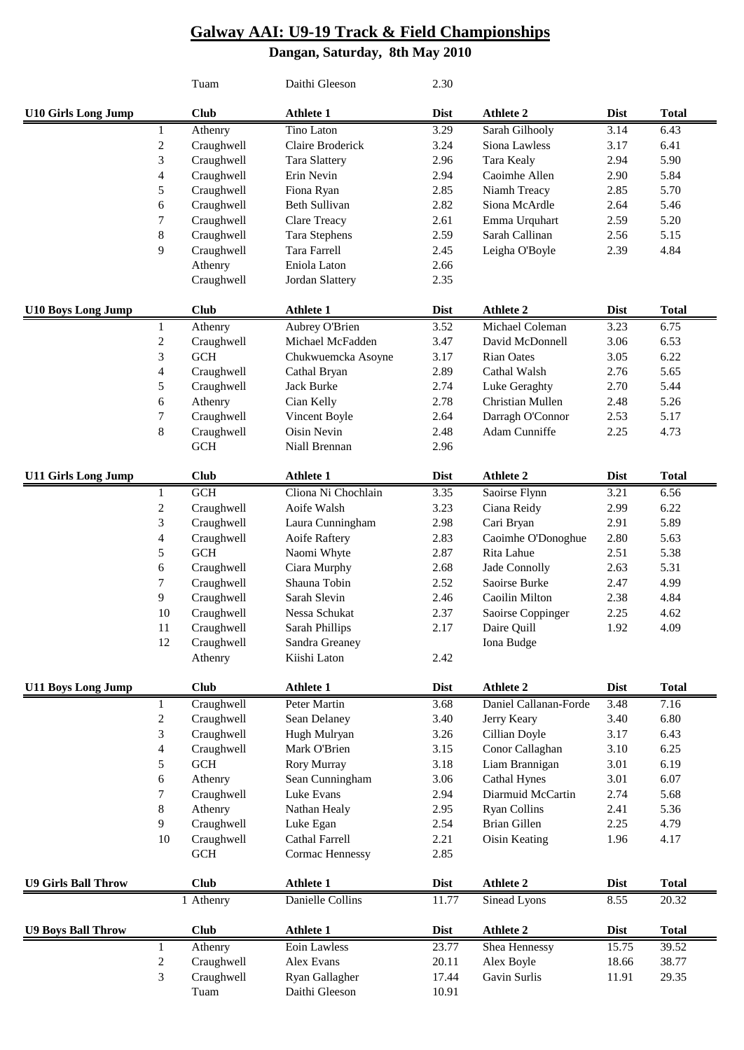### **Galway AAI: U9-19 Track & Field Championships Dangan, Saturday, 8th May 2010**

|                            |                | Tuam                  | Daithi Gleeson                 | 2.30        |                       |             |              |
|----------------------------|----------------|-----------------------|--------------------------------|-------------|-----------------------|-------------|--------------|
| <b>U10 Girls Long Jump</b> |                | <b>Club</b>           | <b>Athlete 1</b>               | <b>Dist</b> | <b>Athlete 2</b>      | <b>Dist</b> | <b>Total</b> |
|                            | $\mathbf{1}$   | Athenry               | Tino Laton                     | 3.29        | Sarah Gilhooly        | 3.14        | 6.43         |
|                            | $\sqrt{2}$     | Craughwell            | Claire Broderick               | 3.24        | Siona Lawless         | 3.17        | 6.41         |
|                            | $\mathfrak{Z}$ | Craughwell            | <b>Tara Slattery</b>           | 2.96        | <b>Tara Kealy</b>     | 2.94        | 5.90         |
|                            | $\overline{4}$ | Craughwell            | Erin Nevin                     | 2.94        | Caoimhe Allen         | 2.90        | 5.84         |
|                            | 5              | Craughwell            | Fiona Ryan                     | 2.85        | Niamh Treacy          | 2.85        | 5.70         |
|                            | 6              | Craughwell            | Beth Sullivan                  | 2.82        | Siona McArdle         | 2.64        | 5.46         |
|                            | 7              | Craughwell            | Clare Treacy                   | 2.61        | Emma Urquhart         | 2.59        | 5.20         |
|                            | 8              | Craughwell            | <b>Tara Stephens</b>           | 2.59        | Sarah Callinan        | 2.56        | 5.15         |
|                            | 9              | Craughwell            | Tara Farrell                   | 2.45        | Leigha O'Boyle        | 2.39        | 4.84         |
|                            |                | Athenry               | Eniola Laton                   | 2.66        |                       |             |              |
|                            |                | Craughwell            | Jordan Slattery                | 2.35        |                       |             |              |
| <b>U10 Boys Long Jump</b>  |                | <b>Club</b>           | <b>Athlete 1</b>               | <b>Dist</b> | <b>Athlete 2</b>      | <b>Dist</b> | <b>Total</b> |
|                            | $\mathbf{1}$   | Athenry               | Aubrey O'Brien                 | 3.52        | Michael Coleman       | 3.23        | 6.75         |
|                            | $\sqrt{2}$     | Craughwell            | Michael McFadden               | 3.47        | David McDonnell       | 3.06        | 6.53         |
|                            | 3              | GCH                   | Chukwuemcka Asoyne             | 3.17        | <b>Rian Oates</b>     | 3.05        | 6.22         |
|                            | $\overline{4}$ | Craughwell            | Cathal Bryan                   | 2.89        | Cathal Walsh          | 2.76        | 5.65         |
|                            | 5              | Craughwell            | Jack Burke                     | 2.74        | Luke Geraghty         | 2.70        | 5.44         |
|                            | 6              | Athenry               | Cian Kelly                     | 2.78        | Christian Mullen      | 2.48        | 5.26         |
|                            | 7              | Craughwell            | Vincent Boyle                  | 2.64        | Darragh O'Connor      | 2.53        | 5.17         |
|                            | 8              | Craughwell            | Oisin Nevin                    | 2.48        | Adam Cunniffe         | 2.25        | 4.73         |
|                            |                | GCH                   | Niall Brennan                  | 2.96        |                       |             |              |
| <b>U11 Girls Long Jump</b> |                | <b>Club</b>           | <b>Athlete 1</b>               | <b>Dist</b> | <b>Athlete 2</b>      | <b>Dist</b> | <b>Total</b> |
|                            | $\mathbf{1}$   | GCH                   | Cliona Ni Chochlain            | 3.35        | Saoirse Flynn         | 3.21        | 6.56         |
|                            | $\sqrt{2}$     | Craughwell            | Aoife Walsh                    | 3.23        | Ciana Reidy           | 2.99        | 6.22         |
|                            | $\mathfrak{Z}$ | Craughwell            | Laura Cunningham               | 2.98        | Cari Bryan            | 2.91        | 5.89         |
|                            | $\overline{4}$ | Craughwell            | Aoife Raftery                  | 2.83        | Caoimhe O'Donoghue    | 2.80        | 5.63         |
|                            | $\sqrt{5}$     | GCH                   | Naomi Whyte                    | 2.87        | Rita Lahue            | 2.51        | 5.38         |
|                            | 6              | Craughwell            | Ciara Murphy                   | 2.68        | Jade Connolly         | 2.63        | 5.31         |
|                            | 7              | Craughwell            | Shauna Tobin                   | 2.52        | Saoirse Burke         | 2.47        | 4.99         |
|                            | 9              | Craughwell            | Sarah Slevin                   | 2.46        | Caoilin Milton        | 2.38        | 4.84         |
|                            | 10             | Craughwell            | Nessa Schukat                  | 2.37        | Saoirse Coppinger     | 2.25        | 4.62         |
|                            | 11             | Craughwell            | Sarah Phillips                 | 2.17        | Daire Quill           | 1.92        | 4.09         |
|                            | 12             |                       |                                |             |                       |             |              |
|                            |                | Craughwell<br>Athenry | Sandra Greaney<br>Kiishi Laton | 2.42        | Iona Budge            |             |              |
|                            |                |                       |                                |             |                       |             |              |
| <b>U11 Boys Long Jump</b>  |                | <b>Club</b>           | <b>Athlete 1</b>               | <b>Dist</b> | <b>Athlete 2</b>      | <b>Dist</b> | <b>Total</b> |
|                            | 1              | Craughwell            | Peter Martin                   | 3.68        | Daniel Callanan-Forde | 3.48        | 7.16         |
|                            | $\sqrt{2}$     | Craughwell            | Sean Delaney                   | 3.40        | Jerry Keary           | 3.40        | 6.80         |
|                            | $\mathfrak{Z}$ | Craughwell            | Hugh Mulryan                   | 3.26        | Cillian Doyle         | 3.17        | 6.43         |
|                            | 4              | Craughwell            | Mark O'Brien                   | 3.15        | Conor Callaghan       | 3.10        | 6.25         |
|                            | $\sqrt{5}$     | $GCH$                 | Rory Murray                    | 3.18        | Liam Brannigan        | 3.01        | 6.19         |
|                            | 6              | Athenry               | Sean Cunningham                | 3.06        | <b>Cathal Hynes</b>   | 3.01        | 6.07         |
|                            | 7              | Craughwell            | Luke Evans                     | 2.94        | Diarmuid McCartin     | 2.74        | 5.68         |
|                            | $\,8\,$        | Athenry               | Nathan Healy                   | 2.95        | <b>Ryan Collins</b>   | 2.41        | 5.36         |
|                            | 9              | Craughwell            | Luke Egan                      | 2.54        | Brian Gillen          | 2.25        | 4.79         |
|                            | 10             | Craughwell            | Cathal Farrell                 | 2.21        | Oisin Keating         | 1.96        | 4.17         |
|                            |                | GCH                   | Cormac Hennessy                | 2.85        |                       |             |              |
| <b>U9 Girls Ball Throw</b> |                | <b>Club</b>           | <b>Athlete 1</b>               | <b>Dist</b> | <b>Athlete 2</b>      | <b>Dist</b> | <b>Total</b> |
|                            |                | 1 Athenry             | Danielle Collins               | 11.77       | Sinead Lyons          | 8.55        | 20.32        |
| <b>U9 Boys Ball Throw</b>  |                | <b>Club</b>           | Athlete 1                      | <b>Dist</b> | <b>Athlete 2</b>      | <b>Dist</b> | <b>Total</b> |
|                            | 1              | Athenry               | Eoin Lawless                   | 23.77       | Shea Hennessy         | 15.75       | 39.52        |
|                            | $\mathbf{2}$   | Craughwell            | Alex Evans                     | 20.11       | Alex Boyle            | 18.66       | 38.77        |
|                            | $\mathfrak{Z}$ | Craughwell            | Ryan Gallagher                 | 17.44       | Gavin Surlis          | 11.91       | 29.35        |
|                            |                | Tuam                  | Daithi Gleeson                 | 10.91       |                       |             |              |
|                            |                |                       |                                |             |                       |             |              |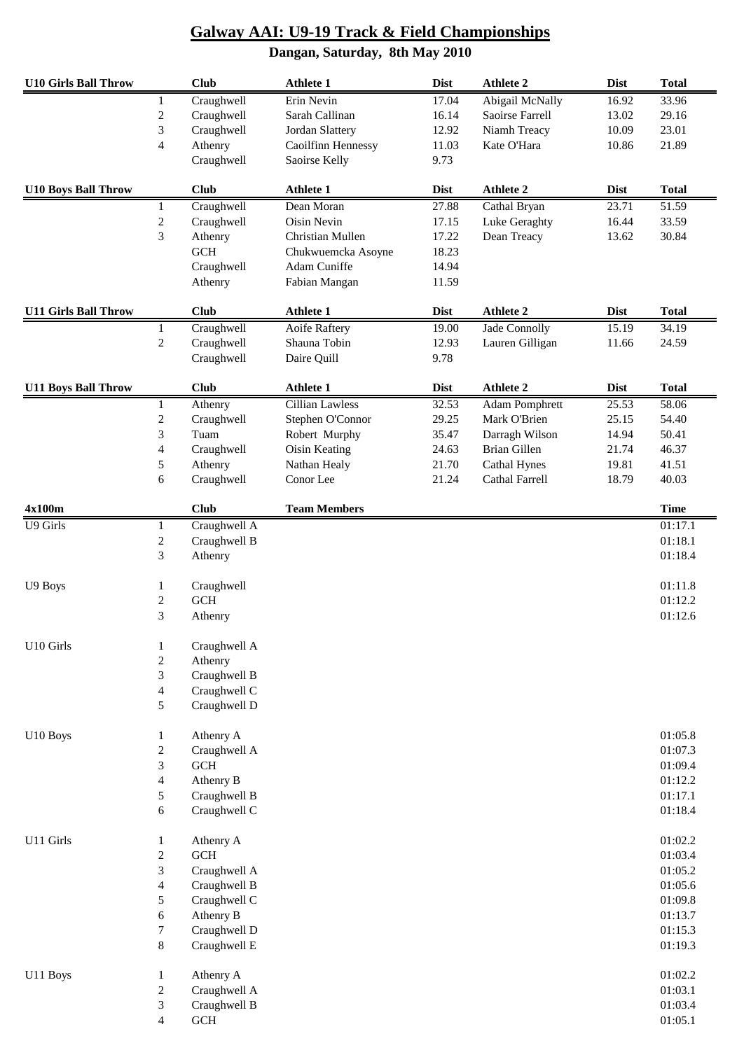#### **Dangan, Saturday, 8th May 2010 U10 Girls Ball Throw Club Athlete 1 Dist Athlete 2 Dist Total** 1 Craughwell Erin Nevin 17.04 Abigail McNally 16.92 33.96 2 Craughwell Sarah Callinan 16.14 Saoirse Farrell 13.02 29.16 3 Craughwell Jordan Slattery 12.92 Niamh Treacy 10.09 23.01 4 Athenry Caoilfinn Hennessy 11.03 Kate O'Hara 10.86 21.89 Craughwell Saoirse Kelly 9.73 **U10 Boys Ball Throw Club Athlete 1 Dist Athlete 2 Dist Total** 1 Craughwell Dean Moran 27.88 Cathal Bryan 23.71 51.59 2 Craughwell Oisin Nevin 17.15 Luke Geraghty 16.44 33.59 3 Athenry Christian Mullen 17.22 Dean Treacy 13.62 30.84 GCH Chukwuemcka Asoyne 18.23 Craughwell Adam Cuniffe 14.94 Athenry Fabian Mangan 11.59 **U11 Girls Ball Throw Club Athlete 1 Dist Athlete 2 Dist Total** 1 Craughwell Aoife Raftery 19.00 Jade Connolly 15.19 34.19 2 Craughwell Shauna Tobin 12.93 Lauren Gilligan 11.66 24.59 Craughwell Daire Quill 9.78 **U11 Boys Ball Throw Club Athlete 1 Dist Athlete 2 Dist Total** 1 Athenry Cillian Lawless 32.53 Adam Pomphrett 25.53 58.06 2 Craughwell Stephen O'Connor 29.25 Mark O'Brien 25.15 54.40 3 Tuam Robert Murphy 35.47 Darragh Wilson 14.94 50.41 4 Craughwell Oisin Keating 24.63 Brian Gillen 21.74 46.37 5 Athenry Nathan Healy 21.70 Cathal Hynes 19.81 41.51 6 Craughwell Conor Lee 21.24 Cathal Farrell 18.79 40.03 **4x100m Club Team Members Time** U9 Girls 1 Craughwell A 01:17.1 2 Craughwell B 01:18.1 3 Athenry 01:18.4 U9 Boys 1 Craughwell 2011 1.8 and 1.11.8 2 GCH 01:12.2 3 Athenry 01:12.6 U10 Girls 1 Craughwell A 2 Athenry 3 Craughwell B 4 Craughwell C 5 Craughwell D U10 Boys 1 Athenry A 01:05.8 2 Craughwell A 01:07.3 3 GCH 01:09.4 4 Athenry B 01:12.2 5 Craughwell B 01:17.1 6 Craughwell C 01:18.4 U11 Girls 1 Athenry A 01:02.2  $2 \qquad \text{GCH}$  01:03.4 3 Craughwell A 01:05.2 4 Craughwell B 01:05.6 5 Craughwell C 01:09.8 6 Athenry B  $01:13.7$ 7 Craughwell D 01:15.3 8 Craughwell E  $\qquad 01:19.3$ U11 Boys 1 Athenry A 01:02.2 2 Craughwell A 01:03.1  $3$  Craughwell B  $01:03.4$ 4 GCH 01:05.1

**Galway AAI: U9-19 Track & Field Championships**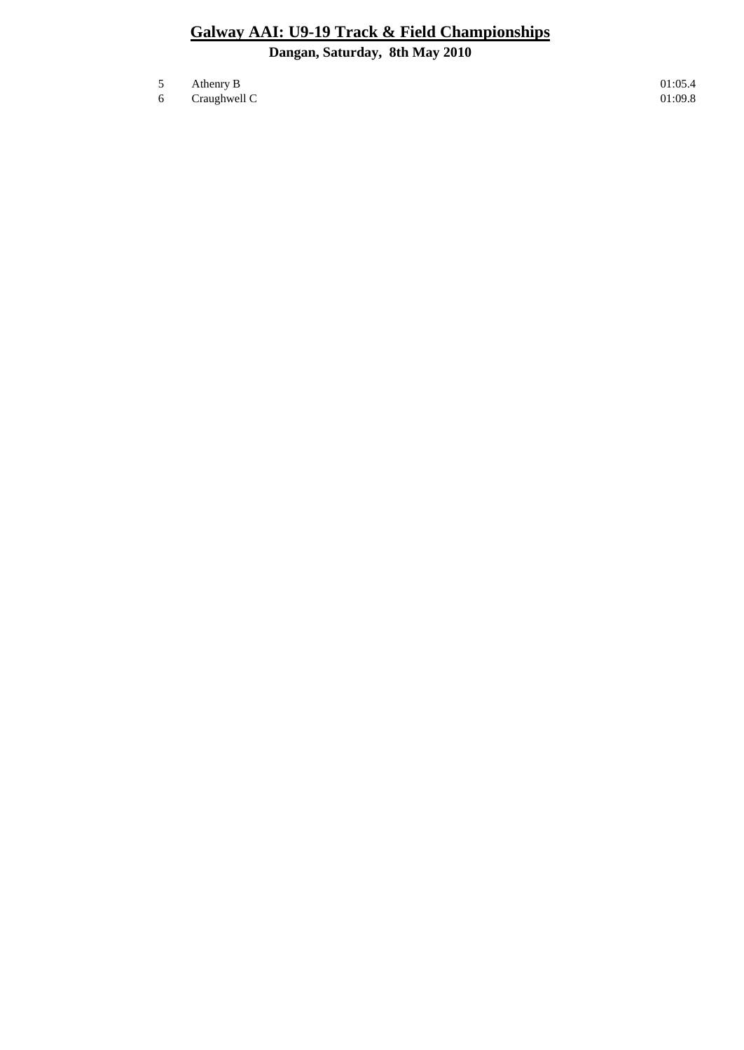- $5$  Athenry B 01:05.4
- $6$  Craughwell C  $01:09.8$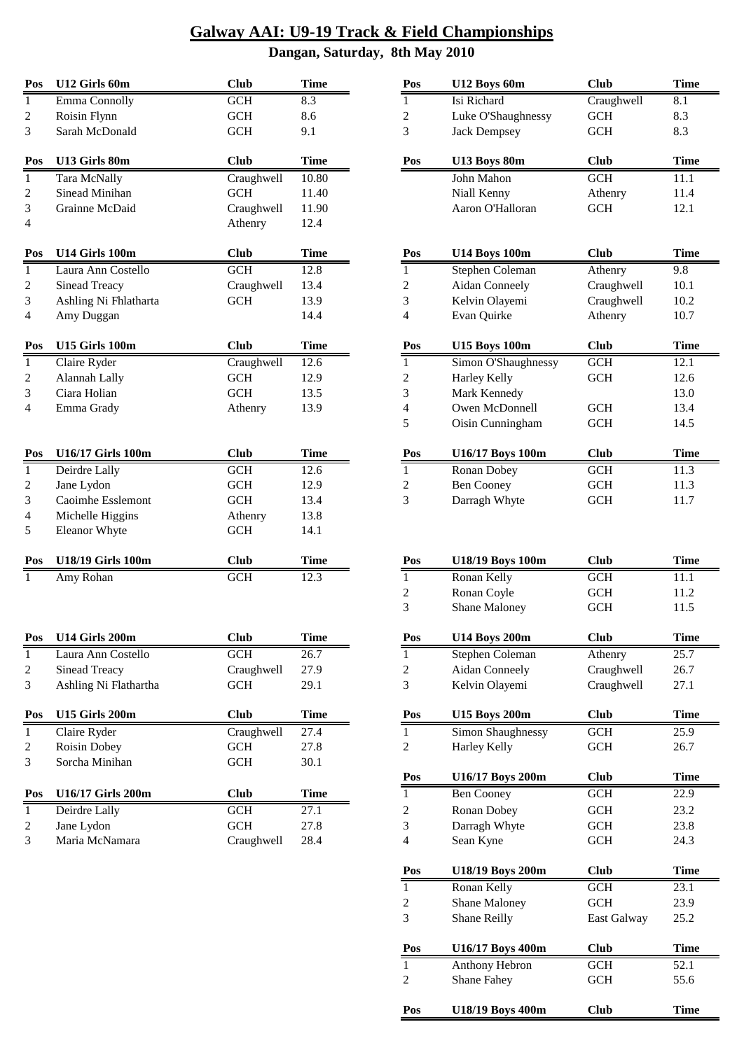| Pos            | U12 Girls 60m            | <b>Club</b> | <b>Time</b> | Pos                     | U12 Boys 60m           | <b>Club</b>          | <b>Time</b> |
|----------------|--------------------------|-------------|-------------|-------------------------|------------------------|----------------------|-------------|
| $\mathbf{1}$   | Emma Connolly            | GCH         | 8.3         | $\mathbf{1}$            | Isi Richard            | Craughwell           | 8.1         |
| 2              | Roisin Flynn             | <b>GCH</b>  | 8.6         | $\boldsymbol{2}$        | Luke O'Shaughnessy     | <b>GCH</b>           | 8.3         |
| 3              | Sarah McDonald           | <b>GCH</b>  | 9.1         | 3                       | <b>Jack Dempsey</b>    | <b>GCH</b>           | 8.3         |
| Pos            | U13 Girls 80m            | <b>Club</b> | <b>Time</b> | Pos                     | U13 Boys 80m           | <b>Club</b>          | <b>Time</b> |
| $\mathbf{1}$   | <b>Tara McNally</b>      | Craughwell  | 10.80       |                         | John Mahon             | <b>GCH</b>           | 11.1        |
| 2              | Sinead Minihan           | <b>GCH</b>  | 11.40       |                         | Niall Kenny            | Athenry              | 11.4        |
| 3              | Grainne McDaid           | Craughwell  | 11.90       |                         | Aaron O'Halloran       | <b>GCH</b>           | 12.1        |
| 4              |                          | Athenry     | 12.4        |                         |                        |                      |             |
| Pos            | U14 Girls 100m           | <b>Club</b> | <b>Time</b> | Pos                     | <b>U14 Boys 100m</b>   | <b>Club</b>          | <b>Time</b> |
| $\mathbf{1}$   | Laura Ann Costello       | <b>GCH</b>  | 12.8        | $\mathbf{1}$            | Stephen Coleman        | Athenry              | 9.8         |
| $\overline{c}$ | Sinead Treacy            | Craughwell  | 13.4        | $\boldsymbol{2}$        | Aidan Conneely         | Craughwell           | 10.1        |
| 3              | Ashling Ni Fhlatharta    | <b>GCH</b>  | 13.9        | 3                       | Kelvin Olayemi         | Craughwell           | 10.2        |
| 4              | Amy Duggan               |             | 14.4        | 4                       | Evan Quirke            | Athenry              | 10.7        |
| Pos            | <b>U15 Girls 100m</b>    | <b>Club</b> | <b>Time</b> | Pos                     | <b>U15 Boys 100m</b>   | <b>Club</b>          | <b>Time</b> |
| $\mathbf{1}$   | Claire Ryder             | Craughwell  | 12.6        | $\mathbf{1}$            | Simon O'Shaughnessy    | <b>GCH</b>           | 12.1        |
| $\overline{c}$ | Alannah Lally            | <b>GCH</b>  | 12.9        | 2                       | Harley Kelly           | <b>GCH</b>           | 12.6        |
| 3              | Ciara Holian             | <b>GCH</b>  | 13.5        | 3                       | Mark Kennedy           |                      | 13.0        |
| 4              | Emma Grady               | Athenry     | 13.9        | 4                       | Owen McDonnell         | <b>GCH</b>           | 13.4        |
|                |                          |             |             | 5                       | Oisin Cunningham       | <b>GCH</b>           | 14.5        |
| Pos            | <b>U16/17 Girls 100m</b> | <b>Club</b> | <b>Time</b> | Pos                     | U16/17 Boys 100m       | <b>Club</b>          | <b>Time</b> |
| $\mathbf{1}$   | Deirdre Lally            | GCH         | 12.6        | 1                       | Ronan Dobey            | GCH                  | 11.3        |
| $\overline{c}$ | Jane Lydon               | <b>GCH</b>  | 12.9        | $\overline{\mathbf{c}}$ | <b>Ben Cooney</b>      | <b>GCH</b>           | 11.3        |
| 3              | Caoimhe Esslemont        | <b>GCH</b>  | 13.4        | 3                       | Darragh Whyte          | <b>GCH</b>           | 11.7        |
| 4              | Michelle Higgins         | Athenry     | 13.8        |                         |                        |                      |             |
| 5              | <b>Eleanor Whyte</b>     | <b>GCH</b>  | 14.1        |                         |                        |                      |             |
| Pos            | <b>U18/19 Girls 100m</b> | <b>Club</b> | <b>Time</b> | Pos                     | U18/19 Boys 100m       | <b>Club</b>          | <b>Time</b> |
| 1              | Amy Rohan                | <b>GCH</b>  | 12.3        | 1                       | Ronan Kelly            | <b>GCH</b>           | 11.1        |
|                |                          |             |             | $\boldsymbol{2}$        | Ronan Coyle            | <b>GCH</b>           | 11.2        |
|                |                          |             |             | 3                       | Shane Maloney          | <b>GCH</b>           | 11.5        |
| Pos            | U14 Girls 200m           | <b>Club</b> | <b>Time</b> | Pos                     | <b>U14 Boys 200m</b>   | Club                 | Time        |
| $\mathbf{1}$   | Laura Ann Costello       | GCH         | 26.7        | $\mathbf{1}$            | <b>Stephen Coleman</b> | Athenry              | 25.7        |
| 2              | Sinead Treacy            | Craughwell  | 27.9        | $\overline{\mathbf{c}}$ | <b>Aidan Conneely</b>  | Craughwell           | 26.7        |
| 3              | Ashling Ni Flathartha    | <b>GCH</b>  | 29.1        | 3                       | Kelvin Olayemi         | Craughwell           | 27.1        |
|                |                          |             |             |                         |                        |                      |             |
| Pos            | <b>U15 Girls 200m</b>    | <b>Club</b> | <b>Time</b> | Pos                     | <b>U15 Boys 200m</b>   | <b>Club</b>          | <b>Time</b> |
| $\mathbf{1}$   | Claire Ryder             | Craughwell  | 27.4        | $\mathbf{1}$            | Simon Shaughnessy      | GCH                  | 25.9        |
| 2              | Roisin Dobey             | <b>GCH</b>  | 27.8        | 2                       | <b>Harley Kelly</b>    | <b>GCH</b>           | 26.7        |
| 3              | Sorcha Minihan           | GCH         | 30.1        | Pos                     | U16/17 Boys 200m       | <b>Club</b>          | <b>Time</b> |
| Pos            | <b>U16/17 Girls 200m</b> | <b>Club</b> | <b>Time</b> | $\mathbf{1}$            | <b>Ben Cooney</b>      | <b>GCH</b>           | 22.9        |
| $\mathbf{1}$   | Deirdre Lally            | GCH         | 27.1        | $\overline{\mathbf{c}}$ | Ronan Dobey            | $\operatorname{GCH}$ | 23.2        |
| 2              | Jane Lydon               | GCH         | 27.8        | 3                       | Darragh Whyte          | GCH                  | 23.8        |
| 3              | Maria McNamara           | Craughwell  | 28.4        | 4                       | Sean Kyne              | $\operatorname{GCH}$ | 24.3        |
|                |                          |             |             |                         |                        |                      |             |

| Pos            | U12 Boys 60m                         | <b>Club</b>       | <b>Time</b>       |
|----------------|--------------------------------------|-------------------|-------------------|
| 1              | Isi Richard                          | Craughwell        | 8.1               |
| $\overline{c}$ | Luke O'Shaughnessy                   | <b>GCH</b>        | 8.3               |
| 3              | <b>Jack Dempsey</b>                  | <b>GCH</b>        | 8.3               |
|                |                                      |                   |                   |
| Pos            | U13 Boys 80m                         | <b>Club</b>       | <b>Time</b>       |
|                | John Mahon                           | <b>GCH</b>        | 11.1              |
|                | Niall Kenny                          | Athenry           | 11.4              |
|                | Aaron O'Halloran                     | <b>GCH</b>        | 12.1              |
|                |                                      |                   |                   |
| Pos            | <b>U14 Boys 100m</b>                 | <b>Club</b>       | Time              |
| $\mathbf{1}$   | Stephen Coleman                      | Athenry           | 9.8               |
| $\overline{c}$ | <b>Aidan Conneely</b>                | Craughwell        | 10.1              |
| 3              | Kelvin Olayemi                       | Craughwell        | 10.2              |
| $\overline{4}$ | Evan Quirke                          | Athenry           | 10.7              |
|                |                                      |                   |                   |
| Pos            | <b>U15 Boys 100m</b>                 | <b>Club</b>       | <b>Time</b>       |
| $\mathbf{1}$   | Simon O'Shaughnessy                  | $\overline{GCH}$  | 12.1              |
| $\overline{c}$ | <b>Harley Kelly</b>                  | <b>GCH</b>        | 12.6              |
| 3              | Mark Kennedy                         |                   | 13.0              |
| $\overline{4}$ | Owen McDonnell                       | <b>GCH</b>        | 13.4              |
| 5              | Oisin Cunningham                     | <b>GCH</b>        | 14.5              |
|                |                                      |                   |                   |
| Pos            | U16/17 Boys 100m                     | Club              | <b>Time</b>       |
| 1              | Ronan Dobey                          | <b>GCH</b>        | 11.3              |
| $\overline{c}$ | <b>Ben Cooney</b>                    | <b>GCH</b>        | 11.3              |
| 3              | Darragh Whyte                        | <b>GCH</b>        | 11.7              |
|                |                                      |                   |                   |
|                |                                      |                   |                   |
|                |                                      |                   |                   |
|                |                                      |                   |                   |
| Pos            | <b>U18/19 Boys 100m</b>              | <b>Club</b>       | Time              |
| 1              | Ronan Kelly                          | <b>GCH</b>        | $11.\overline{1}$ |
| $\overline{c}$ | Ronan Coyle                          | <b>GCH</b>        | 11.2              |
| 3              | <b>Shane Maloney</b>                 | <b>GCH</b>        | 11.5              |
|                |                                      |                   |                   |
| Pos            | <b>U14 Boys 200m</b>                 | <b>Club</b>       | Time              |
| $\mathbf{1}$   | Stephen Coleman                      | Athenry           | 25.7              |
| $\overline{c}$ | Aidan Conneely                       | Craughwell        | 26.7              |
| 3              | Kelvin Olayemi                       | Craughwell        | 27.1              |
| Pos            | <b>U15 Boys 200m</b>                 | <b>Club</b>       | <b>Time</b>       |
| 1              | Simon Shaughnessy                    | <b>GCH</b>        | $\overline{25.9}$ |
| 2              | Harley Kelly                         | <b>GCH</b>        | 26.7              |
|                |                                      |                   |                   |
| Pos            | U16/17 Boys 200m                     | <b>Club</b>       | <b>Time</b>       |
| 1              | <b>Ben Cooney</b>                    | GCH               | 22.9              |
| 2              | Ronan Dobey                          | <b>GCH</b>        | 23.2              |
| $\overline{3}$ | Darragh Whyte                        | GCH               | 23.8              |
| $\overline{4}$ | Sean Kyne                            | GCH               | 24.3              |
|                |                                      |                   |                   |
| Pos            | U18/19 Boys 200m                     | <b>Club</b>       | Time              |
| 1              | Ronan Kelly                          | <b>GCH</b>        | 23.1              |
| $\overline{c}$ | Shane Maloney                        | GCH               | 23.9              |
| 3              | Shane Reilly                         | East Galway       | 25.2              |
| Pos            |                                      | <b>Club</b>       | <b>Time</b>       |
| 1              | U16/17 Boys 400m                     |                   |                   |
| $\overline{c}$ | Anthony Hebron<br><b>Shane Fahey</b> | <b>GCH</b><br>GCH | 52.1<br>55.6      |
|                |                                      |                   |                   |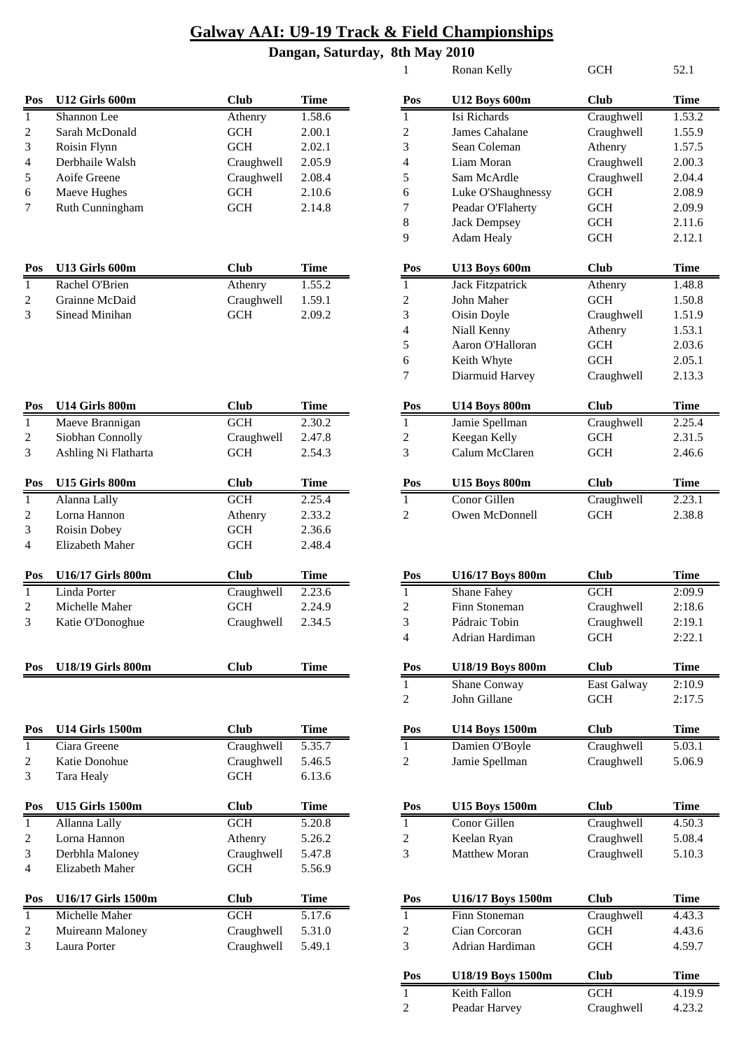| Pos            | U12 Girls 600m  | Club       | <b>Time</b> | Pos            | U12 Boys 600m                                  | <b>Club</b> | Time   |
|----------------|-----------------|------------|-------------|----------------|------------------------------------------------|-------------|--------|
|                | Shannon Lee     | Athenry    | 1.58.6      |                | Isi Richards                                   | Craughwell  | 1.53.2 |
| 2              | Sarah McDonald  | GCH        | 2.00.1      | 2              | James Cahalane                                 | Craughwell  | 1.55.9 |
| 3              | Roisin Flynn    | GCH        | 2.02.1      | 3              | Sean Coleman                                   | Athenry     | 1.57.5 |
| $\overline{4}$ | Derbhaile Walsh | Craughwell | 2.05.9      | $\overline{4}$ | Liam Moran                                     | Craughwell  | 2.00.3 |
| 5              | Aoife Greene    | Craughwell | 2.08.4      | 5              | Sam McArdle                                    | Craughwell  | 2.04.4 |
| 6              | Maeve Hughes    | <b>GCH</b> | 2.10.6      | 6              | Luke O'Shaughnessy                             | <b>GCH</b>  | 2.08.9 |
|                | Ruth Cunningham | <b>GCH</b> | 2.14.8      |                | Peadar O'Flaherty                              | <b>GCH</b>  | 2.09.9 |
|                |                 |            |             | $\Omega$       | $\mathbf{L}$ and $\mathbf{L}$ and $\mathbf{L}$ | CCTI        | 211    |

| Pos | U13 Girls 600m | `lub       | Time   | Pos | <b>U13 Boys 600m</b> | `lub       | <b>Time</b> |
|-----|----------------|------------|--------|-----|----------------------|------------|-------------|
|     | Rachel O'Brien | Athenry    | .55.2  |     | Jack Fitzpatrick     | Athenry    | l.48.8      |
|     | Grainne McDaid | Craughwell | 1.59.1 | ∸   | John Maher           | GCH        | l.50.8      |
|     | Sinead Minihan | GCH        | 2.09.2 |     | Oisin Doyle          | Craughwell | 1.51.9      |

| Pos | U14 Girls 800m           | <b>Club</b> | Time        | Pos | <b>U14 Boys 800m</b>    | <b>Club</b> | Time   |
|-----|--------------------------|-------------|-------------|-----|-------------------------|-------------|--------|
|     | Maeve Brannigan          | <b>GCH</b>  | 2.30.2      |     | Jamie Spellman          | Craughwell  | 2.25.4 |
| 2   | Siobhan Connolly         | Craughwell  | 2.47.8      | 2   | Keegan Kelly            | <b>GCH</b>  | 2.31.5 |
| 3   | Ashling Ni Flatharta     | <b>GCH</b>  | 2.54.3      | 3   | Calum McClaren          | <b>GCH</b>  | 2.46.6 |
| Pos | U15 Girls 800m           | <b>Club</b> | <b>Time</b> | Pos | <b>U15 Boys 800m</b>    | <b>Club</b> | Time   |
|     | Alanna Lally             | <b>GCH</b>  | 2.25.4      |     | Conor Gillen            | Craughwell  | 2.23.1 |
| 2   | Lorna Hannon             | Athenry     | 2.33.2      | 2   | Owen McDonnell          | <b>GCH</b>  | 2.38.8 |
| 3   | Roisin Dobey             | <b>GCH</b>  | 2.36.6      |     |                         |             |        |
| 4   | Elizabeth Maher          | <b>GCH</b>  | 2.48.4      |     |                         |             |        |
| Pos | <b>U16/17 Girls 800m</b> | <b>Club</b> | Time        | Pos | U16/17 Boys 800m        | <b>Club</b> | Time   |
|     | Linda Porter             | Craughwell  | 2.23.6      |     | Shane Fahey             | <b>GCH</b>  | 2:09.9 |
| 2   | Michelle Maher           | <b>GCH</b>  | 2.24.9      | 2   | Finn Stoneman           | Craughwell  | 2:18.6 |
| 3   | Katie O'Donoghue         | Craughwell  | 2.34.5      | 3   | Pádraic Tobin           | Craughwell  | 2:19.1 |
|     |                          |             |             | 4   | Adrian Hardiman         | <b>GCH</b>  | 2:22.1 |
| Pos | <b>U18/19 Girls 800m</b> | <b>Club</b> | <b>Time</b> | Pos | <b>U18/19 Boys 800m</b> | <b>Club</b> | Time   |

| Pos | <b>U14 Girls 1500m</b> | <b>Club</b> | Time        | Pos | <b>U14 Boys 1500m</b> | <b>Club</b> | <b>Time</b> |
|-----|------------------------|-------------|-------------|-----|-----------------------|-------------|-------------|
|     | Ciara Greene           | Craughwell  | 5.35.7      |     | Damien O'Boyle        | Craughwell  | 5.03.1      |
| 2   | Katie Donohue          | Craughwell  | 5.46.5      | 2   | Jamie Spellman        | Craughwell  | 5.06.9      |
| 3   | Tara Healy             | <b>GCH</b>  | 6.13.6      |     |                       |             |             |
| Pos | <b>U15 Girls 1500m</b> | <b>Club</b> | <b>Time</b> | Pos | <b>U15 Boys 1500m</b> | <b>Club</b> | <b>Time</b> |
|     | Allanna Lally          | GCH         | 5.20.8      |     | Conor Gillen          | Craughwell  | 4.50.3      |
| 2   | Lorna Hannon           | Athenry     | 5.26.2      | 2   | Keelan Ryan           | Craughwell  | 5.08.4      |
| 3   | Derbhla Maloney        | Craughwell  | 5.47.8      | 3   | <b>Matthew Moran</b>  | Craughwell  | 5.10.3      |
| 4   | Elizabeth Maher        | <b>GCH</b>  | 5.56.9      |     |                       |             |             |
| Pos | U16/17 Girls 1500m     | <b>Club</b> | <b>Time</b> | Pos | U16/17 Boys 1500m     | <b>Club</b> | <b>Time</b> |
|     | Michelle Maher         | <b>GCH</b>  | 5.17.6      |     | Finn Stoneman         | Craughwell  | 4.43.3      |
| 2   | Muireann Maloney       | Craughwell  | 5.31.0      | 2   | Cian Corcoran         | <b>GCH</b>  | 4.43.6      |
| 3   | Laura Porter           | Craughwell  | 5.49.1      | 3   | Adrian Hardiman       | <b>GCH</b>  | 4.59.7      |

| $\mathbf{1}$   | Ronan Kelly             | <b>GCH</b>  | 52.1        |
|----------------|-------------------------|-------------|-------------|
| Pos            | <b>U12 Boys 600m</b>    | <b>Club</b> | Time        |
| 1              | Isi Richards            | Craughwell  | 1.53.2      |
| 2              | James Cahalane          | Craughwell  | 1.55.9      |
| 3              | Sean Coleman            | Athenry     | 1.57.5      |
| $\overline{4}$ | Liam Moran              | Craughwell  | 2.00.3      |
| 5              | Sam McArdle             | Craughwell  | 2.04.4      |
| 6              | Luke O'Shaughnessy      | <b>GCH</b>  | 2.08.9      |
| 7              | Peadar O'Flaherty       | <b>GCH</b>  | 2.09.9      |
| 8              | <b>Jack Dempsey</b>     | <b>GCH</b>  | 2.11.6      |
| 9              | <b>Adam Healy</b>       | <b>GCH</b>  | 2.12.1      |
|                |                         |             |             |
| Pos            | <b>U13 Boys 600m</b>    | <b>Club</b> | Time        |
| 1              | <b>Jack Fitzpatrick</b> | Athenry     | 1.48.8      |
| $\overline{c}$ | John Maher              | <b>GCH</b>  | 1.50.8      |
| 3              | Oisin Doyle             | Craughwell  | 1.51.9      |
| 4              | Niall Kenny             | Athenry     | 1.53.1      |
| 5              | Aaron O'Halloran        | <b>GCH</b>  | 2.03.6      |
| 6              | Keith Whyte             | <b>GCH</b>  | 2.05.1      |
| 7              | Diarmuid Harvey         | Craughwell  | 2.13.3      |
|                |                         |             |             |
| Pos            | <b>U14 Boys 800m</b>    | Club        | Time        |
| 1              | Jamie Spellman          | Craughwell  | 2.25.4      |
| 2              | Keegan Kelly            | <b>GCH</b>  | 2.31.5      |
| 3              | Calum McClaren          | <b>GCH</b>  | 2.46.6      |
|                |                         |             |             |
| Pos            | <b>U15 Boys 800m</b>    | Club        | <b>Time</b> |
| 1              | Conor Gillen            | Craughwell  | 2.23.1      |
| 2              | Owen McDonnell          | <b>GCH</b>  | 2.38.8      |
|                |                         |             |             |
|                |                         |             |             |

| Pos            | U16/17 Boys 800m        | <b>Club</b> | Time   |  |
|----------------|-------------------------|-------------|--------|--|
| 1              | <b>Shane Fahey</b>      | <b>GCH</b>  | 2:09.9 |  |
| $\overline{c}$ | Finn Stoneman           | Craughwell  | 2:18.6 |  |
| 3              | Pádraic Tobin           | Craughwell  | 2:19.1 |  |
| $\overline{4}$ | Adrian Hardiman         | <b>GCH</b>  | 2:22.1 |  |
|                |                         |             |        |  |
| Pos            | <b>U18/19 Boys 800m</b> | Club        | Time   |  |
| 1              | Shane Conway            | East Galway | 2:10.9 |  |
| $\overline{c}$ | John Gillane            | <b>GCH</b>  | 2:17.5 |  |
|                |                         |             |        |  |
| Pos            | <b>U14 Boys 1500m</b>   | <b>Club</b> | Time   |  |
| $\mathbf{1}$   | Damien O'Boyle          | Craughwell  | 5.03.1 |  |
| $\overline{2}$ | Jamie Spellman          | Craughwell  | 5.06.9 |  |
|                |                         |             |        |  |
|                |                         |             |        |  |
|                |                         |             |        |  |
| Pos            | <b>U15 Boys 1500m</b>   | <b>Club</b> | Time   |  |
| $\mathbf{1}$   | Conor Gillen            | Craughwell  | 4.50.3 |  |
| 2              | Keelan Ryan             | Craughwell  | 5.08.4 |  |
| $\mathcal{E}$  | Matthew Moran           | Craughwell  | 5.10.3 |  |
|                |                         |             |        |  |
|                |                         |             |        |  |
| Pos            | U16/17 Boys 1500m       | <b>Club</b> | Time   |  |
| $\mathbf{1}$   | Finn Stoneman           | Craughwell  | 4.43.3 |  |
| $\overline{2}$ | Cian Corcoran           | GCH         | 4.43.6 |  |
| 3              | Adrian Hardiman         | <b>GCH</b>  | 4.59.7 |  |
|                |                         |             |        |  |
| Pos            | U18/19 Boys 1500m       | <b>Club</b> | Time   |  |
| 1              | Keith Fallon            | <b>GCH</b>  | 4.19.9 |  |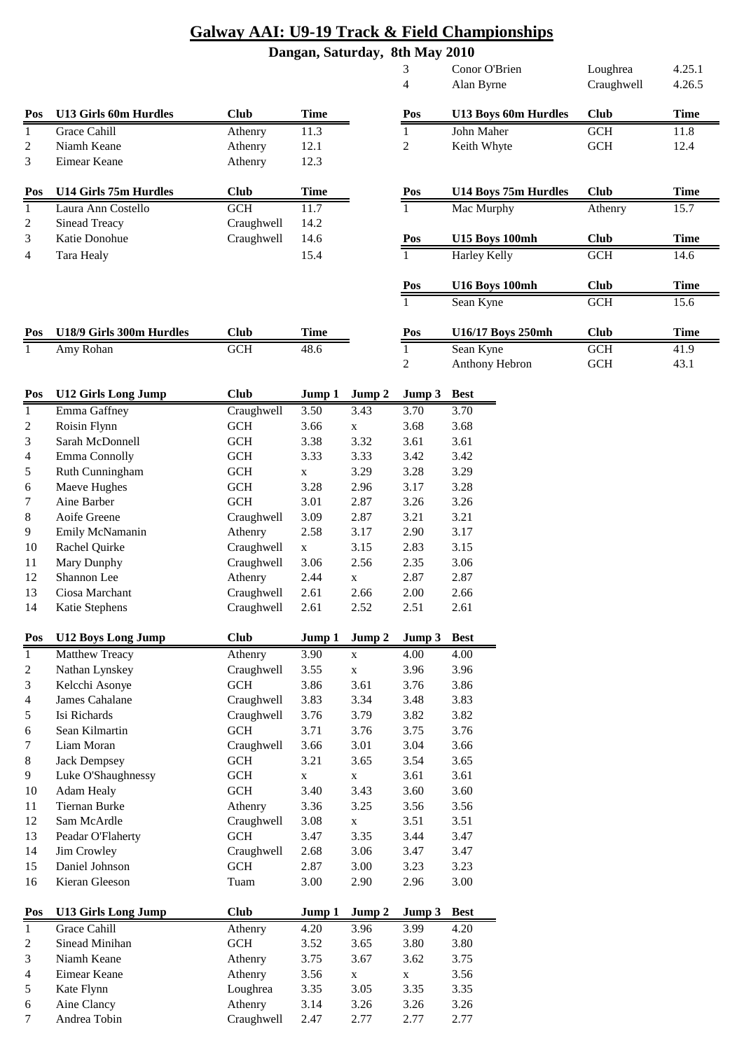|                |                                  |                          |              |              | 3              | Conor O'Brien         | Loughrea    | 4.25.1      |
|----------------|----------------------------------|--------------------------|--------------|--------------|----------------|-----------------------|-------------|-------------|
|                |                                  |                          |              |              | 4              | Alan Byrne            | Craughwell  | 4.26.5      |
| Pos            | <b>U13 Girls 60m Hurdles</b>     | <b>Club</b>              | <b>Time</b>  |              | Pos            | U13 Boys 60m Hurdles  | <b>Club</b> | <b>Time</b> |
| $\mathbf{1}$   | Grace Cahill                     | Athenry                  | 11.3         |              | $\mathbf{1}$   | John Maher            | <b>GCH</b>  | 11.8        |
| $\overline{c}$ | Niamh Keane                      | Athenry                  | 12.1         |              | $\overline{c}$ | Keith Whyte           | <b>GCH</b>  | 12.4        |
| 3              | Eimear Keane                     | Athenry                  | 12.3         |              |                |                       |             |             |
| Pos            | U14 Girls 75m Hurdles            | <b>Club</b>              | <b>Time</b>  |              | Pos            | U14 Boys 75m Hurdles  | <b>Club</b> | <b>Time</b> |
| $\mathbf{1}$   | Laura Ann Costello               | GCH                      | 11.7         |              | $\mathbf{1}$   | Mac Murphy            | Athenry     | 15.7        |
| $\overline{c}$ | <b>Sinead Treacy</b>             | Craughwell               | 14.2         |              |                |                       |             |             |
| 3              | Katie Donohue                    | Craughwell               | 14.6         |              | Pos            | <b>U15 Boys 100mh</b> | <b>Club</b> | <b>Time</b> |
| 4              | Tara Healy                       |                          | 15.4         |              | $\mathbf{1}$   | Harley Kelly          | <b>GCH</b>  | 14.6        |
|                |                                  |                          |              |              | Pos            | <b>U16 Boys 100mh</b> | <b>Club</b> | <b>Time</b> |
|                |                                  |                          |              |              | $\mathbf{1}$   | Sean Kyne             | <b>GCH</b>  | 15.6        |
| Pos            | U18/9 Girls 300m Hurdles         | <b>Club</b>              | <b>Time</b>  |              | Pos            | U16/17 Boys 250mh     | <b>Club</b> | <b>Time</b> |
| 1              | Amy Rohan                        | <b>GCH</b>               | 48.6         |              | 1              | Sean Kyne             | <b>GCH</b>  | 41.9        |
|                |                                  |                          |              |              | $\overline{2}$ | Anthony Hebron        | GCH         | 43.1        |
| Pos            | <b>U12 Girls Long Jump</b>       | <b>Club</b>              | Jump 1       | Jump 2       | Jump 3         | <b>Best</b>           |             |             |
| $\mathbf{1}$   | Emma Gaffney                     | Craughwell               | 3.50         | 3.43         | 3.70           | 3.70                  |             |             |
| $\overline{c}$ | Roisin Flynn                     | GCH                      | 3.66         | $\mathbf X$  | 3.68           | 3.68                  |             |             |
| 3              | Sarah McDonnell                  | $GCH$                    | 3.38         | 3.32         | 3.61           | 3.61                  |             |             |
| 4              | Emma Connolly                    | GCH                      | 3.33         | 3.33         | 3.42           | 3.42                  |             |             |
| 5              | Ruth Cunningham                  | $\operatorname{GCH}$     | $\mathbf X$  | 3.29         | 3.28           | 3.29                  |             |             |
| 6              | Maeve Hughes                     | GCH                      | 3.28         | 2.96         | 3.17           | 3.28                  |             |             |
| 7              | Aine Barber                      | GCH                      | 3.01         | 2.87         | 3.26           | 3.26                  |             |             |
| 8              | Aoife Greene                     | Craughwell               | 3.09         | 2.87         | 3.21           | 3.21                  |             |             |
| 9              | Emily McNamanin                  | Athenry                  | 2.58         | 3.17         | 2.90           | 3.17                  |             |             |
| 10             | Rachel Quirke                    | Craughwell               | $\mathbf X$  | 3.15         | 2.83           | 3.15                  |             |             |
| 11             | Mary Dunphy                      | Craughwell               | 3.06         | 2.56         | 2.35           | 3.06                  |             |             |
| 12             | Shannon Lee                      | Athenry                  | 2.44         | $\mathbf X$  | 2.87           | 2.87                  |             |             |
| 13<br>14       | Ciosa Marchant<br>Katie Stephens | Craughwell<br>Craughwell | 2.61<br>2.61 | 2.66<br>2.52 | 2.00<br>2.51   | 2.66<br>2.61          |             |             |
| Pos            | <b>U12 Boys Long Jump</b>        | <b>Club</b>              | Jump 1       | Jump 2       | Jump 3         | <b>Best</b>           |             |             |
| $\mathbf{1}$   | Matthew Treacy                   | Athenry                  | 3.90         | $\mathbf X$  | 4.00           | 4.00                  |             |             |
| $\overline{c}$ | Nathan Lynskey                   | Craughwell               | 3.55         | $\mathbf X$  | 3.96           | 3.96                  |             |             |
| 3              | Kelcchi Asonye                   | GCH                      | 3.86         | 3.61         | 3.76           | 3.86                  |             |             |
| 4              | James Cahalane                   | Craughwell               | 3.83         | 3.34         | 3.48           | 3.83                  |             |             |
| 5              | Isi Richards                     | Craughwell               | 3.76         | 3.79         | 3.82           | 3.82                  |             |             |
| 6              | Sean Kilmartin                   | GCH                      | 3.71         | 3.76         | 3.75           | 3.76                  |             |             |
| 7              | Liam Moran                       | Craughwell               | 3.66         | 3.01         | 3.04           | 3.66                  |             |             |
| $\,8\,$        | <b>Jack Dempsey</b>              | $\operatorname{GCH}$     | 3.21         | 3.65         | 3.54           | 3.65                  |             |             |
| 9              | Luke O'Shaughnessy               | $\operatorname{GCH}$     | $\mathbf X$  | $\mathbf X$  | 3.61           | 3.61                  |             |             |
| 10             | Adam Healy                       | $\operatorname{GCH}$     | 3.40         | 3.43         | 3.60           | 3.60                  |             |             |
| 11             | Tiernan Burke                    | Athenry                  | 3.36         | 3.25         | 3.56           | 3.56                  |             |             |
| 12             | Sam McArdle                      | Craughwell               | 3.08         | $\mathbf X$  | 3.51           | 3.51                  |             |             |
| 13             | Peadar O'Flaherty                | GCH                      | 3.47         | 3.35         | 3.44           | 3.47                  |             |             |
| 14             | Jim Crowley                      | Craughwell               | 2.68         | 3.06         | 3.47           | 3.47                  |             |             |
| 15             | Daniel Johnson                   | $\operatorname{GCH}$     | 2.87         | 3.00         | 3.23           | 3.23                  |             |             |
| 16             | Kieran Gleeson                   | Tuam                     | 3.00         | 2.90         | 2.96           | 3.00                  |             |             |
| Pos            | <b>U13 Girls Long Jump</b>       | <b>Club</b>              | Jump 1       | Jump 2       | Jump 3         | <b>Best</b>           |             |             |
| $\mathbf{1}$   | Grace Cahill                     | Athenry                  | 4.20         | 3.96         | 3.99           | 4.20                  |             |             |
| $\overline{c}$ | Sinead Minihan                   | $GCH$                    | 3.52         | 3.65         | 3.80           | 3.80                  |             |             |
| 3              | Niamh Keane                      | Athenry                  | 3.75         | 3.67         | 3.62           | 3.75                  |             |             |
| 4              | Eimear Keane                     | Athenry                  | 3.56         | $\mathbf X$  | $\mathbf X$    | 3.56                  |             |             |
| 5              | Kate Flynn                       | Loughrea                 | 3.35         | 3.05         | 3.35           | 3.35                  |             |             |
| 6              | Aine Clancy                      | Athenry                  | 3.14         | 3.26         | 3.26           | 3.26                  |             |             |
| 7              | Andrea Tobin                     | Craughwell               | 2.47         | 2.77         | 2.77           | 2.77                  |             |             |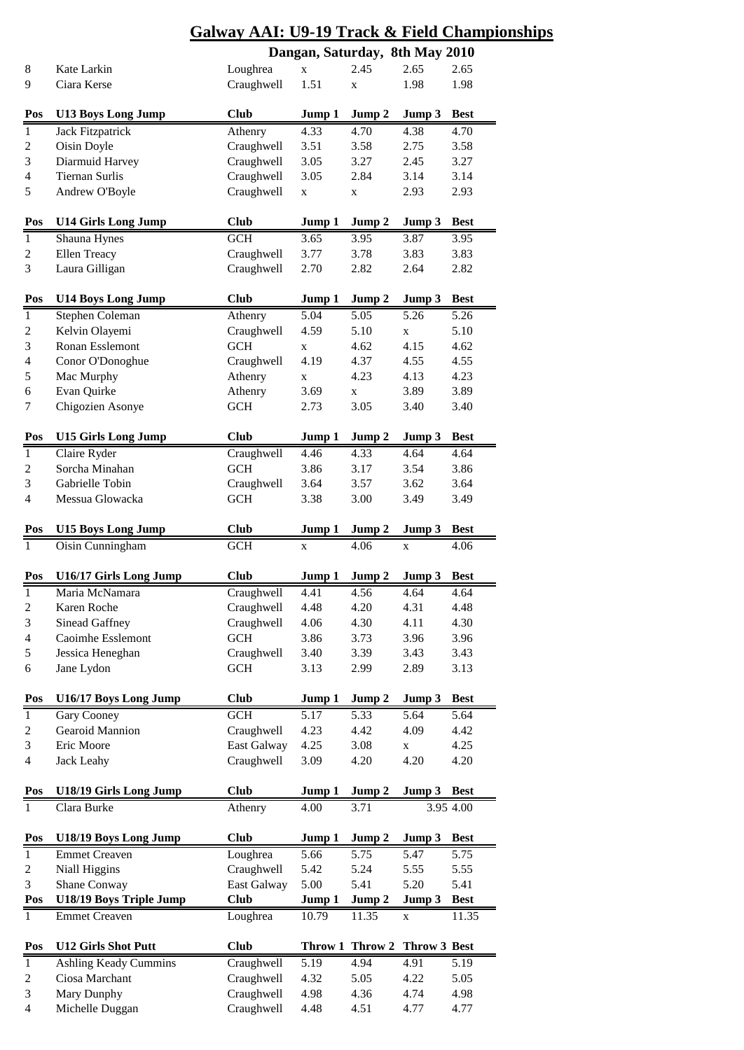|                         |                              | Galway AA1: U9-19 Track & Field Champ. |             |                 |              |             |  |  |  |  |
|-------------------------|------------------------------|----------------------------------------|-------------|-----------------|--------------|-------------|--|--|--|--|
|                         |                              | Dangan, Saturday, 8th May 2010         |             |                 |              |             |  |  |  |  |
| 8                       | Kate Larkin                  | Loughrea                               | $\mathbf x$ | 2.45            | 2.65         | 2.65        |  |  |  |  |
| 9                       | Ciara Kerse                  | Craughwell                             | 1.51        | $\mathbf X$     | 1.98         | 1.98        |  |  |  |  |
|                         |                              |                                        |             |                 |              |             |  |  |  |  |
| Pos                     | <b>U13 Boys Long Jump</b>    | <b>Club</b>                            | Jump 1      | Jump 2          | Jump 3       | <b>Best</b> |  |  |  |  |
| $\mathbf{1}$            | <b>Jack Fitzpatrick</b>      | Athenry                                | 4.33        | 4.70            | 4.38         | 4.70        |  |  |  |  |
| $\sqrt{2}$              | Oisin Doyle                  | Craughwell                             | 3.51        | 3.58            | 2.75         | 3.58        |  |  |  |  |
| $\mathfrak{Z}$          | Diarmuid Harvey              | Craughwell                             | 3.05        | 3.27            | 2.45         | 3.27        |  |  |  |  |
|                         |                              |                                        |             |                 |              |             |  |  |  |  |
| 4                       | <b>Tiernan Surlis</b>        | Craughwell                             | 3.05        | 2.84            | 3.14         | 3.14        |  |  |  |  |
| $\mathfrak s$           | Andrew O'Boyle               | Craughwell                             | $\mathbf X$ | X               | 2.93         | 2.93        |  |  |  |  |
|                         |                              |                                        |             |                 |              |             |  |  |  |  |
| Pos                     | <b>U14 Girls Long Jump</b>   | <b>Club</b>                            | Jump 1      | Jump 2          | Jump 3       | <b>Best</b> |  |  |  |  |
| $\overline{1}$          | Shauna Hynes                 | <b>GCH</b>                             | 3.65        | 3.95            | 3.87         | 3.95        |  |  |  |  |
| $\boldsymbol{2}$        | Ellen Treacy                 | Craughwell                             | 3.77        | 3.78            | 3.83         | 3.83        |  |  |  |  |
| 3                       | Laura Gilligan               | Craughwell                             | 2.70        | 2.82            | 2.64         | 2.82        |  |  |  |  |
|                         |                              |                                        |             |                 |              |             |  |  |  |  |
| Pos                     | <b>U14 Boys Long Jump</b>    | <b>Club</b>                            | Jump 1      | Jump 2          | Jump 3       | <b>Best</b> |  |  |  |  |
| $\overline{1}$          | <b>Stephen Coleman</b>       | $\overline{A}$ thenry                  | 5.04        | 5.05            | 5.26         | 5.26        |  |  |  |  |
| $\mathbf{2}$            | Kelvin Olayemi               | Craughwell                             | 4.59        | 5.10            | $\mathbf X$  | 5.10        |  |  |  |  |
| $\mathfrak{Z}$          | Ronan Esslemont              | <b>GCH</b>                             | $\mathbf x$ | 4.62            | 4.15         | 4.62        |  |  |  |  |
| $\overline{\mathbf{4}}$ | Conor O'Donoghue             | Craughwell                             | 4.19        | 4.37            | 4.55         | 4.55        |  |  |  |  |
| $\sqrt{5}$              | Mac Murphy                   | Athenry                                | $\mathbf X$ | 4.23            | 4.13         | 4.23        |  |  |  |  |
| 6                       | Evan Quirke                  | Athenry                                | 3.69        | $\mathbf X$     | 3.89         | 3.89        |  |  |  |  |
| 7                       | Chigozien Asonye             | <b>GCH</b>                             | 2.73        | 3.05            | 3.40         | 3.40        |  |  |  |  |
|                         |                              |                                        |             |                 |              |             |  |  |  |  |
| Pos                     | <b>U15 Girls Long Jump</b>   | <b>Club</b>                            | Jump 1      | Jump 2          | Jump 3       | <b>Best</b> |  |  |  |  |
|                         |                              |                                        |             |                 |              |             |  |  |  |  |
| $\mathbf{1}$            | Claire Ryder                 | Craughwell                             | 4.46        | 4.33            | 4.64         | 4.64        |  |  |  |  |
| $\boldsymbol{2}$        | Sorcha Minahan               | <b>GCH</b>                             | 3.86        | 3.17            | 3.54         | 3.86        |  |  |  |  |
| $\mathfrak{Z}$          | Gabrielle Tobin              | Craughwell                             | 3.64        | 3.57            | 3.62         | 3.64        |  |  |  |  |
| $\overline{4}$          | Messua Glowacka              | <b>GCH</b>                             | 3.38        | 3.00            | 3.49         | 3.49        |  |  |  |  |
|                         |                              |                                        |             |                 |              |             |  |  |  |  |
| Pos                     | <b>U15 Boys Long Jump</b>    | <b>Club</b>                            | Jump 1      | Jump 2          | Jump 3       | <b>Best</b> |  |  |  |  |
| $\mathbf{1}$            | Oisin Cunningham             | GCH                                    | $\mathbf X$ | 4.06            | $\mathbf X$  | 4.06        |  |  |  |  |
|                         |                              |                                        |             |                 |              |             |  |  |  |  |
|                         |                              |                                        |             |                 |              |             |  |  |  |  |
| Pos                     | U16/17 Girls Long Jump       | <b>Club</b>                            | Jump 1      | Jump 2          | Jump 3       | <b>Best</b> |  |  |  |  |
| $\mathbf{1}$            | Maria McNamara               | Craughwell                             | 4.41        | 4.56            | 4.64         | 4.64        |  |  |  |  |
| $\boldsymbol{2}$        | Karen Roche                  | Craughwell                             | 4.48        | 4.20            | 4.31         | 4.48        |  |  |  |  |
| $\mathfrak{Z}$          | Sinead Gaffney               | Craughwell                             | 4.06        | 4.30            | 4.11         | 4.30        |  |  |  |  |
| $\overline{\mathbf{4}}$ | Caoimhe Esslemont            | <b>GCH</b>                             | 3.86        | 3.73            | 3.96         | 3.96        |  |  |  |  |
| $\mathfrak s$           | Jessica Heneghan             | Craughwell                             | 3.40        | 3.39            | 3.43         | 3.43        |  |  |  |  |
| 6                       | Jane Lydon                   | GCH                                    | 3.13        | 2.99            | 2.89         | 3.13        |  |  |  |  |
|                         |                              |                                        |             |                 |              |             |  |  |  |  |
| Pos                     | U16/17 Boys Long Jump        | <b>Club</b>                            | Jump 1      | Jump 2          | Jump 3       | <b>Best</b> |  |  |  |  |
| $\mathbf{1}$            | Gary Cooney                  | <b>GCH</b>                             | 5.17        | 5.33            | 5.64         | 5.64        |  |  |  |  |
|                         | Gearoid Mannion              |                                        | 4.23        | 4.42            | 4.09         | 4.42        |  |  |  |  |
| $\boldsymbol{2}$        | Eric Moore                   | Craughwell                             |             |                 |              |             |  |  |  |  |
| $\mathfrak{Z}$          |                              | East Galway                            | 4.25        | 3.08            | $\mathbf X$  | 4.25        |  |  |  |  |
| 4                       | <b>Jack Leahy</b>            | Craughwell                             | 3.09        | 4.20            | 4.20         | 4.20        |  |  |  |  |
|                         |                              |                                        |             |                 |              |             |  |  |  |  |
| Pos                     | U18/19 Girls Long Jump       | <b>Club</b>                            | Jump 1      | Jump 2          | Jump 3       | <b>Best</b> |  |  |  |  |
| $\overline{1}$          | Clara Burke                  | Athenry                                | 4.00        | 3.71            |              | 3.95 4.00   |  |  |  |  |
|                         |                              |                                        |             |                 |              |             |  |  |  |  |
| Pos                     | U18/19 Boys Long Jump        | <b>Club</b>                            | Jump 1      | Jump 2          | Jump 3       | <b>Best</b> |  |  |  |  |
| $\overline{1}$          | <b>Emmet Creaven</b>         | Loughrea                               | 5.66        | 5.75            | 5.47         | 5.75        |  |  |  |  |
| $\boldsymbol{2}$        | Niall Higgins                | Craughwell                             | 5.42        | 5.24            | 5.55         | 5.55        |  |  |  |  |
| $\mathfrak{Z}$          | Shane Conway                 | East Galway                            | 5.00        | 5.41            | 5.20         | 5.41        |  |  |  |  |
| Pos                     | U18/19 Boys Triple Jump      | <b>Club</b>                            | Jump 1      | Jump 2          | Jump 3       | <b>Best</b> |  |  |  |  |
| $\mathbf{1}$            | <b>Emmet Creaven</b>         | Loughrea                               | 10.79       | 11.35           | X            | 11.35       |  |  |  |  |
|                         |                              |                                        |             |                 |              |             |  |  |  |  |
| Pos                     | <b>U12 Girls Shot Putt</b>   | <b>Club</b>                            |             | Throw 1 Throw 2 | Throw 3 Best |             |  |  |  |  |
| $\mathbf{1}$            | <b>Ashling Keady Cummins</b> | Craughwell                             | 5.19        | 4.94            | 4.91         | 5.19        |  |  |  |  |
| $\mathbf{2}$            | Ciosa Marchant               | Craughwell                             | 4.32        | 5.05            | 4.22         | 5.05        |  |  |  |  |
| $\mathfrak{Z}$          | Mary Dunphy                  | Craughwell                             | 4.98        | 4.36            | 4.74         | 4.98        |  |  |  |  |
| $\overline{4}$          | Michelle Duggan              | Craughwell                             | 4.48        | 4.51            | 4.77         | 4.77        |  |  |  |  |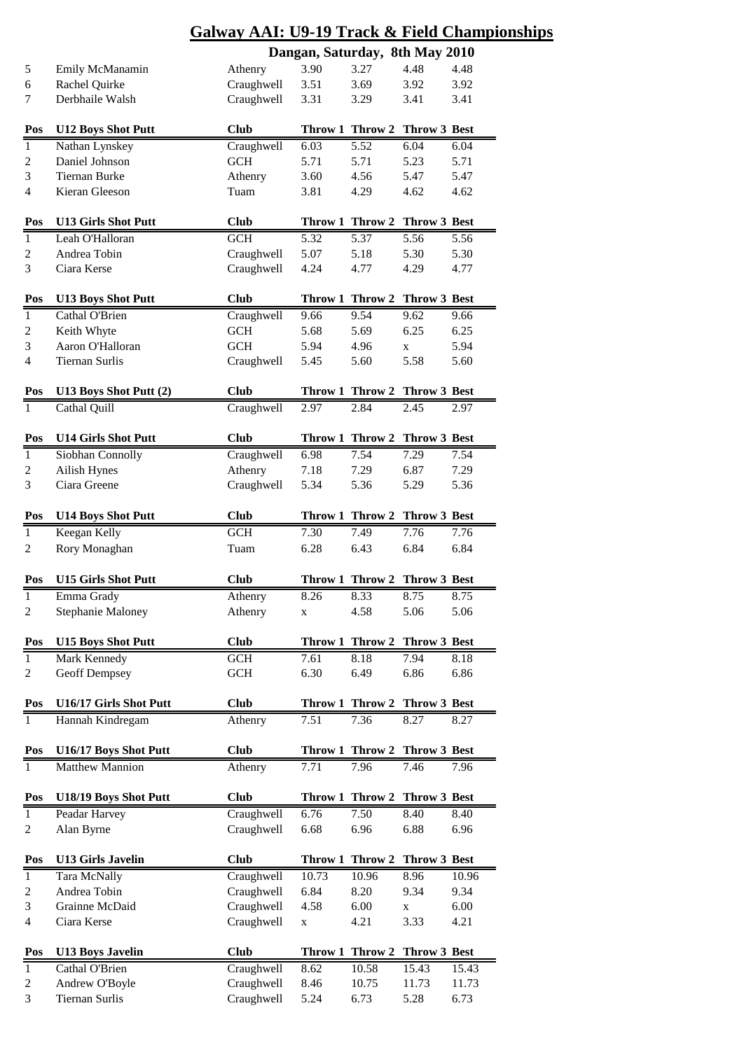|                  | <b>Galway AAI: U9-19 Track &amp; Field Championships</b> |                                |             |                              |              |              |  |  |  |  |
|------------------|----------------------------------------------------------|--------------------------------|-------------|------------------------------|--------------|--------------|--|--|--|--|
|                  |                                                          | Dangan, Saturday, 8th May 2010 |             |                              |              |              |  |  |  |  |
| 5                | Emily McManamin                                          | Athenry                        | 3.90        | 3.27                         | 4.48         | 4.48         |  |  |  |  |
| 6                | Rachel Quirke                                            | Craughwell                     | 3.51        | 3.69                         | 3.92         | 3.92         |  |  |  |  |
| 7                | Derbhaile Walsh                                          | Craughwell                     | 3.31        | 3.29                         | 3.41         | 3.41         |  |  |  |  |
| Pos              | <b>U12 Boys Shot Putt</b>                                | <b>Club</b>                    |             | Throw 1 Throw 2              | Throw 3 Best |              |  |  |  |  |
| $\overline{1}$   | Nathan Lynskey                                           | Craughwell                     | 6.03        | $\overline{5.52}$            | 6.04         | 6.04         |  |  |  |  |
| $\overline{c}$   | Daniel Johnson                                           | <b>GCH</b>                     | 5.71        | 5.71                         | 5.23         | 5.71         |  |  |  |  |
| 3                | <b>Tiernan Burke</b>                                     | Athenry                        | 3.60        | 4.56                         | 5.47         | 5.47         |  |  |  |  |
| 4                | Kieran Gleeson                                           | Tuam                           | 3.81        | 4.29                         | 4.62         | 4.62         |  |  |  |  |
|                  |                                                          |                                |             |                              |              |              |  |  |  |  |
| Pos              | <b>U13 Girls Shot Putt</b>                               | <b>Club</b>                    |             | Throw 1 Throw 2 Throw 3 Best |              |              |  |  |  |  |
| $\mathbf{1}$     | Leah O'Halloran                                          | <b>GCH</b>                     | 5.32        | 5.37                         | 5.56         | 5.56         |  |  |  |  |
| 2                | Andrea Tobin                                             | Craughwell                     | 5.07        | 5.18                         | 5.30         | 5.30         |  |  |  |  |
| 3                | Ciara Kerse                                              | Craughwell                     | 4.24        | 4.77                         | 4.29         | 4.77         |  |  |  |  |
|                  |                                                          |                                |             |                              |              |              |  |  |  |  |
| Pos              | <b>U13 Boys Shot Putt</b>                                | <b>Club</b>                    |             | Throw 1 Throw 2 Throw 3 Best |              |              |  |  |  |  |
| $\mathbf{1}$     | Cathal O'Brien                                           | Craughwell                     | 9.66        | 9.54                         | 9.62         | 9.66         |  |  |  |  |
| 2                | Keith Whyte                                              | GCH                            | 5.68        | 5.69                         | 6.25         | 6.25         |  |  |  |  |
| $\mathfrak{Z}$   | Aaron O'Halloran                                         | <b>GCH</b>                     | 5.94        | 4.96                         | X            | 5.94         |  |  |  |  |
| $\overline{4}$   | <b>Tiernan Surlis</b>                                    | Craughwell                     | 5.45        | 5.60                         | 5.58         | 5.60         |  |  |  |  |
| Pos              | U13 Boys Shot Putt (2)                                   | <b>Club</b>                    |             | Throw 1 Throw 2              | Throw 3 Best |              |  |  |  |  |
| $\mathbf{1}$     | Cathal Quill                                             | Craughwell                     | 2.97        | 2.84                         | 2.45         | 2.97         |  |  |  |  |
| Pos              | <b>U14 Girls Shot Putt</b>                               | <b>Club</b>                    |             | Throw 1 Throw 2 Throw 3 Best |              |              |  |  |  |  |
| $\mathbf{1}$     |                                                          |                                |             | 7.54                         |              |              |  |  |  |  |
|                  | Siobhan Connolly                                         | Craughwell                     | 6.98        |                              | 7.29         | 7.54         |  |  |  |  |
| $\boldsymbol{2}$ | <b>Ailish Hynes</b><br>Ciara Greene                      | Athenry                        | 7.18        | 7.29                         | 6.87<br>5.29 | 7.29<br>5.36 |  |  |  |  |
| 3                |                                                          | Craughwell                     | 5.34        | 5.36                         |              |              |  |  |  |  |
| Pos              | <b>U14 Boys Shot Putt</b>                                | <b>Club</b>                    |             | Throw 1 Throw 2 Throw 3 Best |              |              |  |  |  |  |
| $\mathbf{1}$     | Keegan Kelly                                             | <b>GCH</b>                     | 7.30        | 7.49                         | 7.76         | 7.76         |  |  |  |  |
| 2                | Rory Monaghan                                            | Tuam                           | 6.28        | 6.43                         | 6.84         | 6.84         |  |  |  |  |
| Pos              | <b>U15 Girls Shot Putt</b>                               | Club                           |             | Throw 1 Throw 2 Throw 3 Best |              |              |  |  |  |  |
| $1\,$            | Emma Grady                                               | Athenry                        | 8.26        | 8.33                         | 8.75         | 8.75         |  |  |  |  |
| 2                | <b>Stephanie Maloney</b>                                 | Athenry                        | $\mathbf X$ | 4.58                         | 5.06         | 5.06         |  |  |  |  |
|                  |                                                          |                                |             |                              |              |              |  |  |  |  |
| Pos              | <b>U15 Boys Shot Putt</b>                                | <b>Club</b>                    |             | Throw 1 Throw 2              | Throw 3 Best |              |  |  |  |  |
| $\mathbf{1}$     | Mark Kennedy                                             | <b>GCH</b>                     | 7.61        | 8.18                         | 7.94         | 8.18         |  |  |  |  |
| 2                | Geoff Dempsey                                            | <b>GCH</b>                     | 6.30        | 6.49                         | 6.86         | 6.86         |  |  |  |  |
| Pos              | U16/17 Girls Shot Putt                                   | <b>Club</b>                    |             | Throw 1 Throw 2 Throw 3 Best |              |              |  |  |  |  |
| $\mathbf{1}$     | Hannah Kindregam                                         | Athenry                        | 7.51        | 7.36                         | 8.27         | 8.27         |  |  |  |  |
|                  |                                                          |                                |             |                              |              |              |  |  |  |  |
| Pos              | U16/17 Boys Shot Putt                                    | <b>Club</b>                    |             | Throw 1 Throw 2              | Throw 3 Best |              |  |  |  |  |
| $\mathbf{1}$     | Matthew Mannion                                          | Athenry                        | 7.71        | 7.96                         | 7.46         | 7.96         |  |  |  |  |
| Pos              | U18/19 Boys Shot Putt                                    | <b>Club</b>                    |             | Throw 1 Throw 2              | Throw 3 Best |              |  |  |  |  |
| $\mathbf{1}$     | Peadar Harvey                                            | Craughwell                     | 6.76        | 7.50                         | 8.40         | 8.40         |  |  |  |  |
| 2                | Alan Byrne                                               | Craughwell                     | 6.68        | 6.96                         | 6.88         | 6.96         |  |  |  |  |
|                  |                                                          |                                |             |                              |              |              |  |  |  |  |
| Pos              | <b>U13 Girls Javelin</b>                                 | <b>Club</b>                    |             | Throw 1 Throw 2              | Throw 3 Best |              |  |  |  |  |
| $\mathbf{1}$     | Tara McNally                                             | Craughwell                     | 10.73       | 10.96                        | 8.96         | 10.96        |  |  |  |  |
| $\boldsymbol{2}$ | Andrea Tobin                                             | Craughwell                     | 6.84        | 8.20                         | 9.34         | 9.34         |  |  |  |  |
| $\mathfrak{Z}$   | Grainne McDaid                                           | Craughwell                     | 4.58        | 6.00                         | X            | 6.00         |  |  |  |  |
| 4                | Ciara Kerse                                              | Craughwell                     | $\mathbf X$ | 4.21                         | 3.33         | 4.21         |  |  |  |  |
| Pos              | <b>U13 Boys Javelin</b>                                  | <b>Club</b>                    |             | Throw 1 Throw 2              | Throw 3 Best |              |  |  |  |  |
| $\overline{1}$   | Cathal O'Brien                                           | Craughwell                     | 8.62        | 10.58                        | 15.43        | 15.43        |  |  |  |  |
| $\boldsymbol{2}$ | Andrew O'Boyle                                           | Craughwell                     | 8.46        | 10.75                        | 11.73        | 11.73        |  |  |  |  |
| $\mathfrak{Z}$   | <b>Tiernan Surlis</b>                                    | Craughwell                     | 5.24        | 6.73                         | 5.28         | 6.73         |  |  |  |  |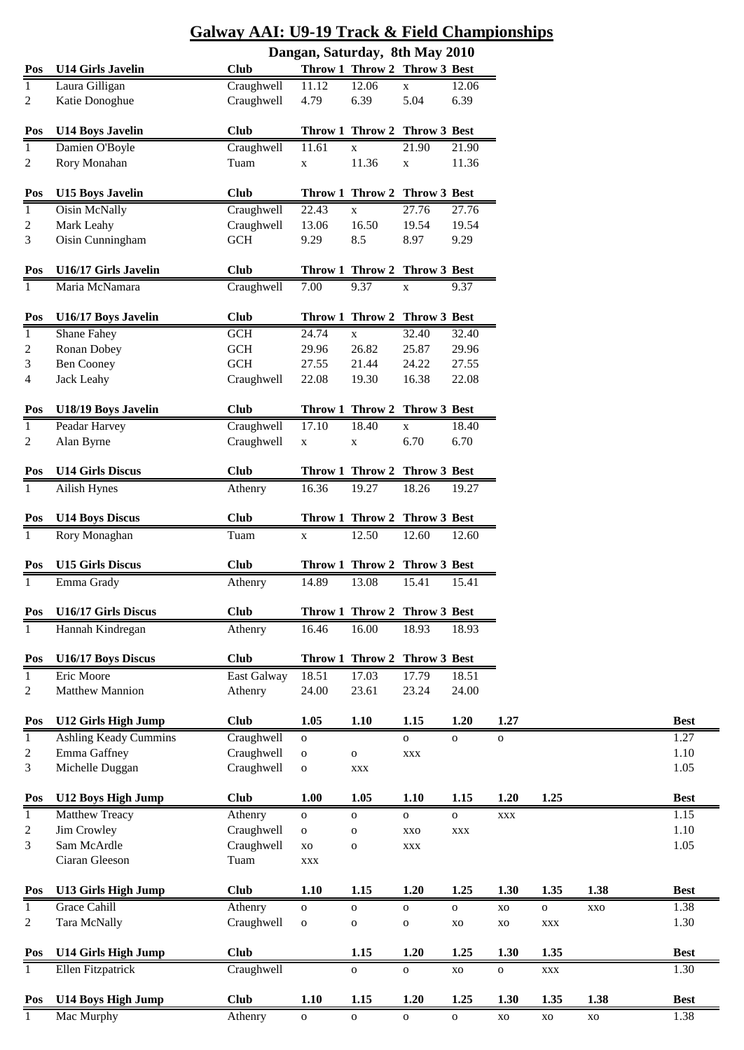|              |                                             | <b>Galway AAI: U9-19 Track &amp; Field Championships</b> |                                |                                       |                            |                                |                        |                |
|--------------|---------------------------------------------|----------------------------------------------------------|--------------------------------|---------------------------------------|----------------------------|--------------------------------|------------------------|----------------|
|              |                                             |                                                          | Dangan, Saturday, 8th May 2010 |                                       |                            |                                |                        |                |
| Pos          | <b>U14 Girls Javelin</b>                    | <b>Club</b>                                              |                                | Throw 1 Throw 2 Throw 3 Best          |                            |                                |                        |                |
| 1            | Laura Gilligan                              | Craughwell                                               | 11.12                          | 12.06                                 | $\mathbf X$                | 12.06                          |                        |                |
| 2            | Katie Donoghue                              | Craughwell                                               | 4.79                           | 6.39                                  | 5.04                       | 6.39                           |                        |                |
| Pos          | <b>U14 Boys Javelin</b>                     | <b>Club</b>                                              |                                | Throw 1 Throw 2 Throw 3 Best          |                            |                                |                        |                |
| 1            | Damien O'Boyle                              | Craughwell                                               | 11.61                          | $\mathbf X$                           | 21.90                      | 21.90                          |                        |                |
| 2            | Rory Monahan                                | Tuam                                                     | $\mathbf X$                    | 11.36                                 | $\mathbf X$                | 11.36                          |                        |                |
|              |                                             |                                                          |                                |                                       |                            |                                |                        |                |
| Pos          | <b>U15 Boys Javelin</b>                     | <b>Club</b>                                              |                                | Throw 1 Throw 2 Throw 3 Best          |                            |                                |                        |                |
| 1            | Oisin McNally                               | Craughwell                                               | 22.43                          | $\mathbf x$                           | 27.76                      | 27.76                          |                        |                |
| 2<br>3       | Mark Leahy<br>Oisin Cunningham              | Craughwell<br><b>GCH</b>                                 | 13.06<br>9.29                  | 16.50<br>8.5                          | 19.54<br>8.97              | 19.54<br>9.29                  |                        |                |
|              |                                             |                                                          |                                |                                       |                            |                                |                        |                |
| Pos          | U16/17 Girls Javelin                        | <b>Club</b>                                              |                                | Throw 1 Throw 2 Throw 3 Best          |                            |                                |                        |                |
| 1            | Maria McNamara                              | Craughwell                                               | 7.00                           | 9.37                                  | $\mathbf X$                | 9.37                           |                        |                |
|              |                                             |                                                          |                                |                                       |                            |                                |                        |                |
| Pos          | U16/17 Boys Javelin                         | <b>Club</b>                                              |                                | Throw 1 Throw 2 Throw 3 Best          |                            |                                |                        |                |
| $\mathbf{1}$ | Shane Fahey                                 | GCH                                                      | 24.74                          | $\mathbf x$                           | 32.40                      | 32.40                          |                        |                |
| 2<br>3       | Ronan Dobey<br><b>Ben Cooney</b>            | GCH<br>$\operatorname{GCH}$                              | 29.96<br>27.55                 | 26.82<br>21.44                        | 25.87<br>24.22             | 29.96<br>27.55                 |                        |                |
| 4            | Jack Leahy                                  | Craughwell                                               | 22.08                          | 19.30                                 | 16.38                      | 22.08                          |                        |                |
|              |                                             |                                                          |                                |                                       |                            |                                |                        |                |
| Pos          | U18/19 Boys Javelin                         | <b>Club</b>                                              |                                | Throw 1 Throw 2 Throw 3 Best          |                            |                                |                        |                |
| $\mathbf{1}$ | Peadar Harvey                               | Craughwell                                               | 17.10                          | 18.40                                 | $\mathbf X$                | 18.40                          |                        |                |
| 2            | Alan Byrne                                  | Craughwell                                               | $\mathbf X$                    | $\mathbf X$                           | 6.70                       | 6.70                           |                        |                |
| Pos          | <b>U14 Girls Discus</b>                     | <b>Club</b>                                              |                                | Throw 1 Throw 2 Throw 3 Best          |                            |                                |                        |                |
| 1            | Ailish Hynes                                | Athenry                                                  | 16.36                          | 19.27                                 | 18.26                      | 19.27                          |                        |                |
|              |                                             |                                                          |                                |                                       |                            |                                |                        |                |
| Pos          | <b>U14 Boys Discus</b>                      | <b>Club</b>                                              |                                | Throw 1 Throw 2 Throw 3 Best          |                            |                                |                        |                |
| 1            | Rory Monaghan                               | Tuam                                                     | $\mathbf X$                    | 12.50                                 | 12.60                      | 12.60                          |                        |                |
|              |                                             |                                                          |                                |                                       |                            |                                |                        |                |
| Pos          | <b>U15 Girls Discus</b><br>Emma Grady       | <b>Club</b><br>Athenry                                   | 14.89                          | Throw 1 Throw 2 Throw 3 Best<br>13.08 | 15.41                      | 15.41                          |                        |                |
| $\perp$      |                                             |                                                          |                                |                                       |                            |                                |                        |                |
| Pos          | U16/17 Girls Discus                         | <b>Club</b>                                              |                                | Throw 1 Throw 2 Throw 3 Best          |                            |                                |                        |                |
| 1            | Hannah Kindregan                            | $\overline{A}$ thenry                                    | 16.46                          | 16.00                                 | 18.93                      | 18.93                          |                        |                |
|              |                                             |                                                          |                                |                                       |                            |                                |                        |                |
| Pos          | U16/17 Boys Discus                          | <b>Club</b>                                              |                                | Throw 1 Throw 2 Throw 3 Best          |                            |                                |                        |                |
| 1            | Eric Moore                                  | East Galway                                              | 18.51                          | 17.03                                 | 17.79                      | 18.51                          |                        |                |
| 2            | <b>Matthew Mannion</b>                      | Athenry                                                  | 24.00                          | 23.61                                 | 23.24                      | 24.00                          |                        |                |
| Pos          | <b>U12 Girls High Jump</b>                  | <b>Club</b>                                              | 1.05                           | 1.10                                  | 1.15                       | 1.20                           | 1.27                   |                |
| $\mathbf{1}$ | Ashling Keady Cummins                       | Craughwell                                               | $\mathbf{o}$                   |                                       | $\mathbf{o}$               | $\mathbf{o}$                   | $\mathbf{o}$           |                |
| 2            | Emma Gaffney                                | Craughwell                                               | $\mathbf O$                    | $\mathbf 0$                           | <b>XXX</b>                 |                                |                        |                |
| 3            | Michelle Duggan                             | Craughwell                                               | $\mathbf O$                    | <b>XXX</b>                            |                            |                                |                        |                |
|              |                                             | <b>Club</b>                                              |                                | 1.05                                  |                            |                                |                        |                |
| Pos<br>1     | <b>U12 Boys High Jump</b><br>Matthew Treacy | Athenry                                                  | 1.00                           |                                       | 1.10                       | 1.15                           | 1.20                   | 1.25           |
| 2            | Jim Crowley                                 | Craughwell                                               | $\mathbf{o}$<br>$\mathbf{o}$   | $\mathbf O$<br>$\mathbf O$            | $\mathbf{O}$<br><b>XXO</b> | $\mathbf{O}$<br>$\mathbf{XXX}$ | <b>XXX</b>             |                |
| 3            | Sam McArdle                                 | Craughwell                                               | XO                             | $\mathbf O$                           | $\mathbf{XXX}$             |                                |                        |                |
|              | Ciaran Gleeson                              | Tuam                                                     | <b>XXX</b>                     |                                       |                            |                                |                        |                |
|              |                                             |                                                          |                                |                                       |                            |                                |                        |                |
| Pos          | <b>U13 Girls High Jump</b>                  | <b>Club</b>                                              | 1.10                           | 1.15                                  | 1.20                       | 1.25                           | 1.30                   | 1.35           |
| 1            | Grace Cahill                                | Athenry                                                  | $\mathbf{o}$                   | $\mathbf O$                           | $\mathbf{O}$               | $\mathbf{O}$                   | XO                     | $\mathbf O$    |
| 2            | Tara McNally                                | Craughwell                                               | $\mathbf O$                    | $\mathbf O$                           | ${\bf O}$                  | XO                             | XO                     | $\mathbf{XXX}$ |
| Pos          | <b>U14 Girls High Jump</b>                  | <b>Club</b>                                              |                                | 1.15                                  | 1.20                       | 1.25                           | 1.30                   | 1.35           |
| 1            | Ellen Fitzpatrick                           | Craughwell                                               |                                | $\mathbf 0$                           | $\mathbf{o}$               | XO                             | $\mathbf{o}$           | $\mathbf{XXX}$ |
|              |                                             |                                                          |                                |                                       |                            |                                |                        |                |
| Pos          | <b>U14 Boys High Jump</b>                   | <b>Club</b>                                              | 1.10                           | 1.15                                  | 1.20                       | 1.25                           | 1.30                   | 1.35           |
| 1            | Mac Murphy                                  | Athenry                                                  | $\mathbf 0$                    | $\mathbf O$                           | $\mathbf O$                | $\mathbf 0$                    | $\mathbf{X}\mathbf{O}$ | XO             |